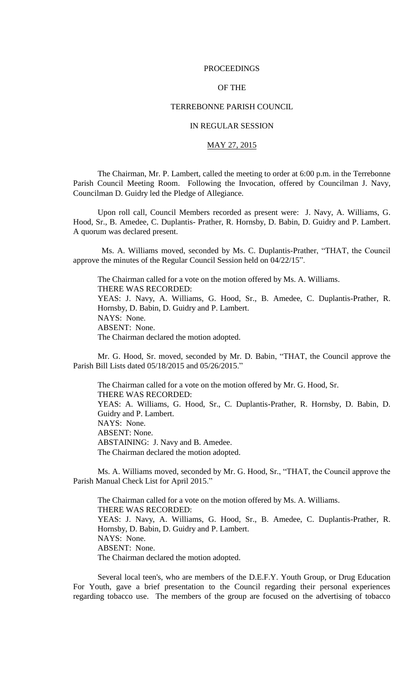### PROCEEDINGS

# OF THE

## TERREBONNE PARISH COUNCIL

# IN REGULAR SESSION

## MAY 27, 2015

The Chairman, Mr. P. Lambert, called the meeting to order at 6:00 p.m. in the Terrebonne Parish Council Meeting Room. Following the Invocation, offered by Councilman J. Navy, Councilman D. Guidry led the Pledge of Allegiance.

Upon roll call, Council Members recorded as present were: J. Navy, A. Williams, G. Hood, Sr., B. Amedee, C. Duplantis- Prather, R. Hornsby, D. Babin, D. Guidry and P. Lambert. A quorum was declared present.

 Ms. A. Williams moved, seconded by Ms. C. Duplantis-Prather, "THAT, the Council approve the minutes of the Regular Council Session held on 04/22/15".

The Chairman called for a vote on the motion offered by Ms. A. Williams. THERE WAS RECORDED: YEAS: J. Navy, A. Williams, G. Hood, Sr., B. Amedee, C. Duplantis-Prather, R. Hornsby, D. Babin, D. Guidry and P. Lambert. NAYS: None. ABSENT: None. The Chairman declared the motion adopted.

Mr. G. Hood, Sr. moved, seconded by Mr. D. Babin, "THAT, the Council approve the Parish Bill Lists dated 05/18/2015 and 05/26/2015."

The Chairman called for a vote on the motion offered by Mr. G. Hood, Sr. THERE WAS RECORDED: YEAS: A. Williams, G. Hood, Sr., C. Duplantis-Prather, R. Hornsby, D. Babin, D. Guidry and P. Lambert. NAYS: None. ABSENT: None. ABSTAINING: J. Navy and B. Amedee. The Chairman declared the motion adopted.

Ms. A. Williams moved, seconded by Mr. G. Hood, Sr., "THAT, the Council approve the Parish Manual Check List for April 2015."

The Chairman called for a vote on the motion offered by Ms. A. Williams. THERE WAS RECORDED: YEAS: J. Navy, A. Williams, G. Hood, Sr., B. Amedee, C. Duplantis-Prather, R. Hornsby, D. Babin, D. Guidry and P. Lambert. NAYS: None. ABSENT: None. The Chairman declared the motion adopted.

Several local teen's, who are members of the D.E.F.Y. Youth Group, or Drug Education For Youth, gave a brief presentation to the Council regarding their personal experiences regarding tobacco use. The members of the group are focused on the advertising of tobacco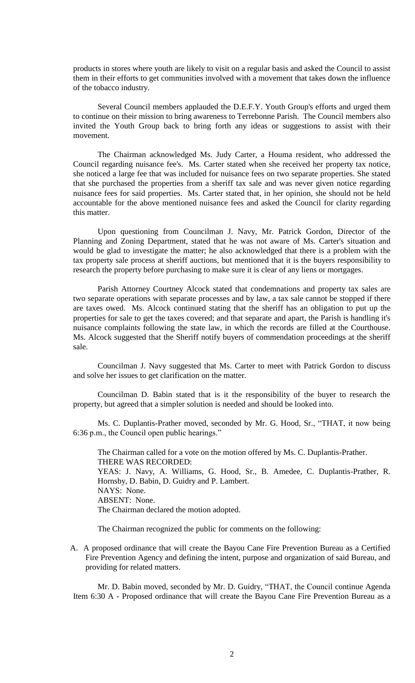products in stores where youth are likely to visit on a regular basis and asked the Council to assist them in their efforts to get communities involved with a movement that takes down the influence of the tobacco industry.

Several Council members applauded the D.E.F.Y. Youth Group's efforts and urged them to continue on their mission to bring awareness to Terrebonne Parish. The Council members also invited the Youth Group back to bring forth any ideas or suggestions to assist with their movement.

The Chairman acknowledged Ms. Judy Carter, a Houma resident, who addressed the Council regarding nuisance fee's. Ms. Carter stated when she received her property tax notice, she noticed a large fee that was included for nuisance fees on two separate properties. She stated that she purchased the properties from a sheriff tax sale and was never given notice regarding nuisance fees for said properties. Ms. Carter stated that, in her opinion, she should not be held accountable for the above mentioned nuisance fees and asked the Council for clarity regarding this matter.

Upon questioning from Councilman J. Navy, Mr. Patrick Gordon, Director of the Planning and Zoning Department, stated that he was not aware of Ms. Carter's situation and would be glad to investigate the matter; he also acknowledged that there is a problem with the tax property sale process at sheriff auctions, but mentioned that it is the buyers responsibility to research the property before purchasing to make sure it is clear of any liens or mortgages.

Parish Attorney Courtney Alcock stated that condemnations and property tax sales are two separate operations with separate processes and by law, a tax sale cannot be stopped if there are taxes owed. Ms. Alcock continued stating that the sheriff has an obligation to put up the properties for sale to get the taxes covered; and that separate and apart, the Parish is handling it's nuisance complaints following the state law, in which the records are filled at the Courthouse. Ms. Alcock suggested that the Sheriff notify buyers of commendation proceedings at the sheriff sale.

Councilman J. Navy suggested that Ms. Carter to meet with Patrick Gordon to discuss and solve her issues to get clarification on the matter.

Councilman D. Babin stated that is it the responsibility of the buyer to research the property, but agreed that a simpler solution is needed and should be looked into.

Ms. C. Duplantis-Prather moved, seconded by Mr. G. Hood, Sr., "THAT, it now being 6:36 p.m., the Council open public hearings."

The Chairman called for a vote on the motion offered by Ms. C. Duplantis-Prather. THERE WAS RECORDED: YEAS: J. Navy, A. Williams, G. Hood, Sr., B. Amedee, C. Duplantis-Prather, R. Hornsby, D. Babin, D. Guidry and P. Lambert. NAYS: None. ABSENT: None. The Chairman declared the motion adopted.

The Chairman recognized the public for comments on the following:

A. A proposed ordinance that will create the Bayou Cane Fire Prevention Bureau as a Certified Fire Prevention Agency and defining the intent, purpose and organization of said Bureau, and providing for related matters.

Mr. D. Babin moved, seconded by Mr. D. Guidry, "THAT, the Council continue Agenda Item 6:30 A - Proposed ordinance that will create the Bayou Cane Fire Prevention Bureau as a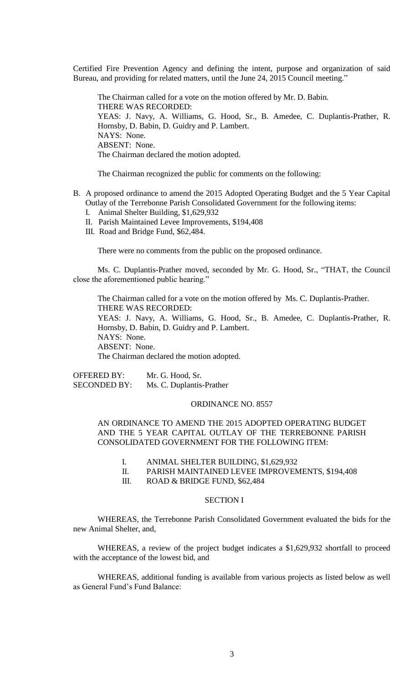Certified Fire Prevention Agency and defining the intent, purpose and organization of said Bureau, and providing for related matters, until the June 24, 2015 Council meeting."

The Chairman called for a vote on the motion offered by Mr. D. Babin. THERE WAS RECORDED: YEAS: J. Navy, A. Williams, G. Hood, Sr., B. Amedee, C. Duplantis-Prather, R. Hornsby, D. Babin, D. Guidry and P. Lambert. NAYS: None. ABSENT: None. The Chairman declared the motion adopted.

The Chairman recognized the public for comments on the following:

- B. A proposed ordinance to amend the 2015 Adopted Operating Budget and the 5 Year Capital Outlay of the Terrebonne Parish Consolidated Government for the following items:
	- I. Animal Shelter Building, \$1,629,932
	- II. Parish Maintained Levee Improvements, \$194,408
	- III. Road and Bridge Fund, \$62,484.

There were no comments from the public on the proposed ordinance.

Ms. C. Duplantis-Prather moved, seconded by Mr. G. Hood, Sr., "THAT, the Council close the aforementioned public hearing."

The Chairman called for a vote on the motion offered by Ms. C. Duplantis-Prather. THERE WAS RECORDED: YEAS: J. Navy, A. Williams, G. Hood, Sr., B. Amedee, C. Duplantis-Prather, R. Hornsby, D. Babin, D. Guidry and P. Lambert. NAYS: None. ABSENT: None. The Chairman declared the motion adopted.

OFFERED BY: Mr. G. Hood, Sr. SECONDED BY: Ms. C. Duplantis-Prather

## ORDINANCE NO. 8557

AN ORDINANCE TO AMEND THE 2015 ADOPTED OPERATING BUDGET AND THE 5 YEAR CAPITAL OUTLAY OF THE TERREBONNE PARISH CONSOLIDATED GOVERNMENT FOR THE FOLLOWING ITEM:

- I. ANIMAL SHELTER BUILDING, \$1,629,932
- II. PARISH MAINTAINED LEVEE IMPROVEMENTS, \$194,408
- III. ROAD & BRIDGE FUND, \$62,484

## SECTION I

WHEREAS, the Terrebonne Parish Consolidated Government evaluated the bids for the new Animal Shelter, and,

WHEREAS, a review of the project budget indicates a \$1,629,932 shortfall to proceed with the acceptance of the lowest bid, and

WHEREAS, additional funding is available from various projects as listed below as well as General Fund's Fund Balance: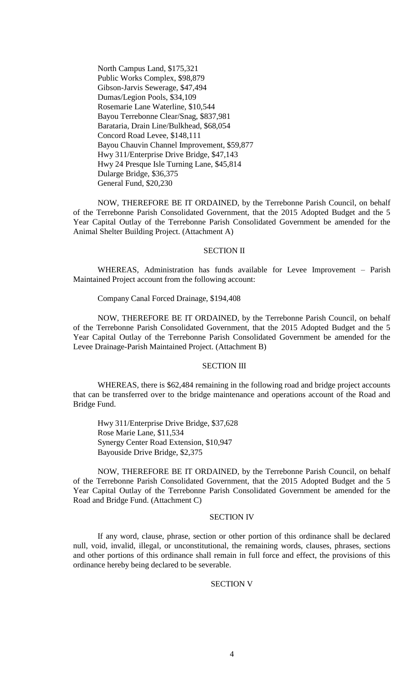North Campus Land, \$175,321 Public Works Complex, \$98,879 Gibson-Jarvis Sewerage, \$47,494 Dumas/Legion Pools, \$34,109 Rosemarie Lane Waterline, \$10,544 Bayou Terrebonne Clear/Snag, \$837,981 Barataria, Drain Line/Bulkhead, \$68,054 Concord Road Levee, \$148,111 Bayou Chauvin Channel Improvement, \$59,877 Hwy 311/Enterprise Drive Bridge, \$47,143 Hwy 24 Presque Isle Turning Lane, \$45,814 Dularge Bridge, \$36,375 General Fund, \$20,230

NOW, THEREFORE BE IT ORDAINED, by the Terrebonne Parish Council, on behalf of the Terrebonne Parish Consolidated Government, that the 2015 Adopted Budget and the 5 Year Capital Outlay of the Terrebonne Parish Consolidated Government be amended for the Animal Shelter Building Project. (Attachment A)

#### SECTION II

WHEREAS, Administration has funds available for Levee Improvement – Parish Maintained Project account from the following account:

#### Company Canal Forced Drainage, \$194,408

NOW, THEREFORE BE IT ORDAINED, by the Terrebonne Parish Council, on behalf of the Terrebonne Parish Consolidated Government, that the 2015 Adopted Budget and the 5 Year Capital Outlay of the Terrebonne Parish Consolidated Government be amended for the Levee Drainage-Parish Maintained Project. (Attachment B)

#### SECTION III

WHEREAS, there is \$62,484 remaining in the following road and bridge project accounts that can be transferred over to the bridge maintenance and operations account of the Road and Bridge Fund.

Hwy 311/Enterprise Drive Bridge, \$37,628 Rose Marie Lane, \$11,534 Synergy Center Road Extension, \$10,947 Bayouside Drive Bridge, \$2,375

NOW, THEREFORE BE IT ORDAINED, by the Terrebonne Parish Council, on behalf of the Terrebonne Parish Consolidated Government, that the 2015 Adopted Budget and the 5 Year Capital Outlay of the Terrebonne Parish Consolidated Government be amended for the Road and Bridge Fund. (Attachment C)

### SECTION IV

If any word, clause, phrase, section or other portion of this ordinance shall be declared null, void, invalid, illegal, or unconstitutional, the remaining words, clauses, phrases, sections and other portions of this ordinance shall remain in full force and effect, the provisions of this ordinance hereby being declared to be severable.

### SECTION V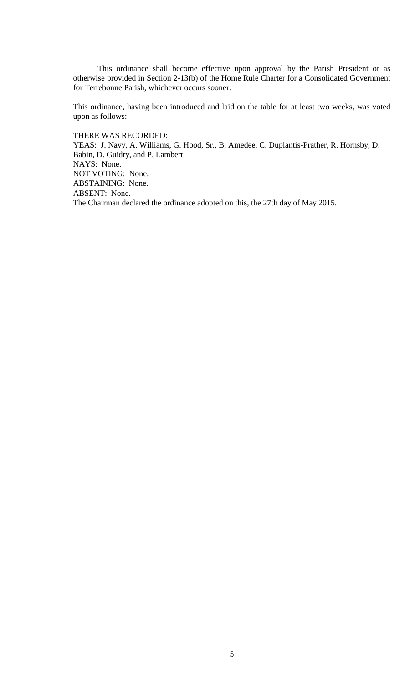This ordinance shall become effective upon approval by the Parish President or as otherwise provided in Section 2-13(b) of the Home Rule Charter for a Consolidated Government for Terrebonne Parish, whichever occurs sooner.

This ordinance, having been introduced and laid on the table for at least two weeks, was voted upon as follows:

THERE WAS RECORDED:

YEAS: J. Navy, A. Williams, G. Hood, Sr., B. Amedee, C. Duplantis-Prather, R. Hornsby, D. Babin, D. Guidry, and P. Lambert. NAYS: None. NOT VOTING: None. ABSTAINING: None. ABSENT: None. The Chairman declared the ordinance adopted on this, the 27th day of May 2015.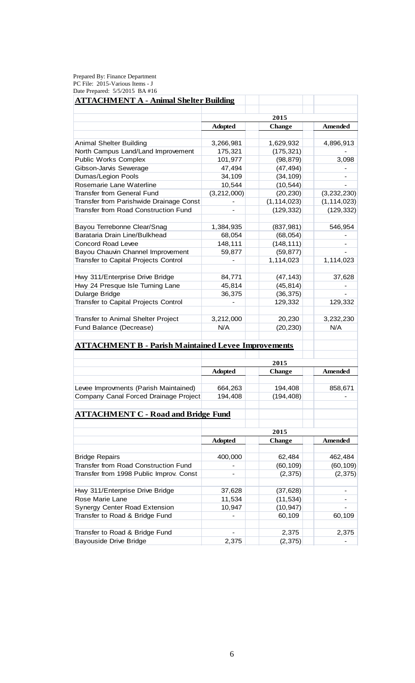Prepared By: Finance Department PC File: 2015-Various Items - J Date Prepared: 5/5/2015 BA #16

| <b>ATTACHMENT A - Animal Shelter Building</b>              |                |                |                |
|------------------------------------------------------------|----------------|----------------|----------------|
|                                                            |                | 2015           |                |
|                                                            | <b>Adopted</b> | <b>Amended</b> |                |
|                                                            |                | <b>Change</b>  |                |
| Animal Shelter Building                                    | 3,266,981      | 1,629,932      | 4,896,913      |
| North Campus Land/Land Improvement                         | 175,321        | (175, 321)     |                |
| Public Works Complex                                       | 101,977        | (98, 879)      | 3,098          |
| Gibson-Jarvis Sewerage                                     | 47,494         | (47, 494)      |                |
| <b>Dumas/Legion Pools</b>                                  | 34,109         | (34, 109)      |                |
| Rosemarie Lane Waterline                                   | 10,544         | (10, 544)      |                |
| <b>Transfer from General Fund</b>                          | (3,212,000)    | (20, 230)      | (3, 232, 230)  |
| Transfer from Parishwide Drainage Const                    |                | (1, 114, 023)  | (1, 114, 023)  |
| Transfer from Road Construction Fund                       |                | (129, 332)     | (129, 332)     |
|                                                            |                |                |                |
| Bayou Terrebonne Clear/Snag                                | 1,384,935      | (837, 981)     | 546,954        |
| Barataria Drain Line/Bulkhead                              | 68,054         | (68, 054)      |                |
| <b>Concord Road Levee</b>                                  | 148,111        | (148, 111)     |                |
| Bayou Chauvin Channel Improvement                          | 59,877         | (59, 877)      |                |
| Transfer to Capital Projects Control                       |                | 1,114,023      | 1,114,023      |
|                                                            |                |                |                |
| Hwy 311/Enterprise Drive Bridge                            | 84,771         | (47, 143)      | 37,628         |
| Hwy 24 Presque Isle Turning Lane                           | 45,814         | (45, 814)      |                |
| Dularge Bridge                                             | 36,375         | (36, 375)      |                |
| Transfer to Capital Projects Control                       |                | 129,332        | 129,332        |
|                                                            |                |                |                |
| Transfer to Animal Shelter Project                         | 3,212,000      | 20,230         | 3,232,230      |
| Fund Balance (Decrease)                                    | N/A            | (20, 230)      | N/A            |
|                                                            |                |                |                |
| <b>ATTACHMENT B - Parish Maintained Levee Improvements</b> |                |                |                |
|                                                            |                | 2015           |                |
|                                                            | <b>Adopted</b> | <b>Change</b>  | <b>Amended</b> |
|                                                            |                |                |                |
| Levee Improvments (Parish Maintained)                      | 664,263        | 194,408        | 858,671        |
| Company Canal Forced Drainage Project                      | 194,408        | (194, 408)     |                |
|                                                            |                |                |                |
| <b>ATTACHMENT C - Road and Bridge Fund</b>                 |                |                |                |
|                                                            |                |                |                |
|                                                            |                | 2015           |                |
|                                                            | <b>Adopted</b> | <b>Change</b>  | Amended        |
|                                                            |                |                |                |
| <b>Bridge Repairs</b>                                      | 400,000        | 62,484         | 462,484        |
| <b>Transfer from Road Construction Fund</b>                |                | (60, 109)      | (60, 109)      |
| Transfer from 1998 Public Improv. Const                    |                | (2, 375)       | (2, 375)       |
|                                                            |                |                |                |
| Hwy 311/Enterprise Drive Bridge                            | 37,628         | (37, 628)      |                |
| Rose Marie Lane                                            | 11,534         | (11, 534)      |                |
| Synergy Center Road Extension                              | 10,947         | (10, 947)      |                |
| Transfer to Road & Bridge Fund                             |                | 60,109         | 60,109         |
|                                                            |                |                |                |
| Transfer to Road & Bridge Fund                             |                | 2,375          | 2,375          |
| <b>Bayouside Drive Bridge</b>                              | 2,375          | (2, 375)       |                |
|                                                            |                |                |                |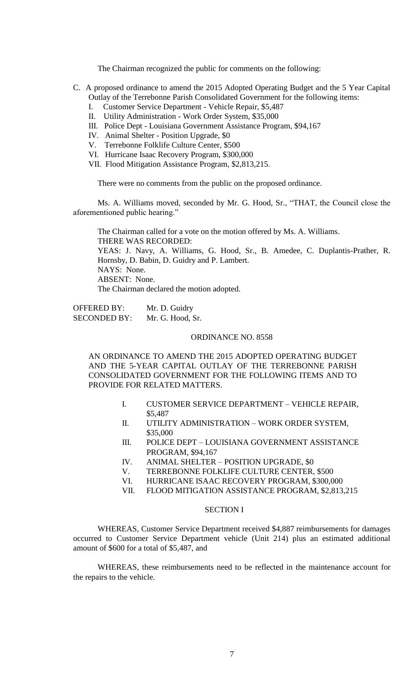The Chairman recognized the public for comments on the following:

- C. A proposed ordinance to amend the 2015 Adopted Operating Budget and the 5 Year Capital Outlay of the Terrebonne Parish Consolidated Government for the following items:
	- I. Customer Service Department Vehicle Repair, \$5,487
	- II. Utility Administration Work Order System, \$35,000
	- III. Police Dept Louisiana Government Assistance Program, \$94,167
	- IV. Animal Shelter Position Upgrade, \$0
	- V. Terrebonne Folklife Culture Center, \$500
	- VI. Hurricane Isaac Recovery Program, \$300,000
	- VII. Flood Mitigation Assistance Program, \$2,813,215.

There were no comments from the public on the proposed ordinance.

Ms. A. Williams moved, seconded by Mr. G. Hood, Sr., "THAT, the Council close the aforementioned public hearing."

The Chairman called for a vote on the motion offered by Ms. A. Williams. THERE WAS RECORDED: YEAS: J. Navy, A. Williams, G. Hood, Sr., B. Amedee, C. Duplantis-Prather, R. Hornsby, D. Babin, D. Guidry and P. Lambert. NAYS: None. ABSENT: None. The Chairman declared the motion adopted.

OFFERED BY: Mr. D. Guidry SECONDED BY: Mr. G. Hood, Sr.

### ORDINANCE NO. 8558

AN ORDINANCE TO AMEND THE 2015 ADOPTED OPERATING BUDGET AND THE 5-YEAR CAPITAL OUTLAY OF THE TERREBONNE PARISH CONSOLIDATED GOVERNMENT FOR THE FOLLOWING ITEMS AND TO PROVIDE FOR RELATED MATTERS.

- I. CUSTOMER SERVICE DEPARTMENT VEHICLE REPAIR, \$5,487
- II. UTILITY ADMINISTRATION WORK ORDER SYSTEM, \$35,000
- III. POLICE DEPT LOUISIANA GOVERNMENT ASSISTANCE PROGRAM, \$94,167
- IV. ANIMAL SHELTER POSITION UPGRADE, \$0
- V. TERREBONNE FOLKLIFE CULTURE CENTER, \$500
- VI. HURRICANE ISAAC RECOVERY PROGRAM, \$300,000
- VII. FLOOD MITIGATION ASSISTANCE PROGRAM, \$2,813,215

## SECTION I

WHEREAS, Customer Service Department received \$4,887 reimbursements for damages occurred to Customer Service Department vehicle (Unit 214) plus an estimated additional amount of \$600 for a total of \$5,487, and

WHEREAS, these reimbursements need to be reflected in the maintenance account for the repairs to the vehicle.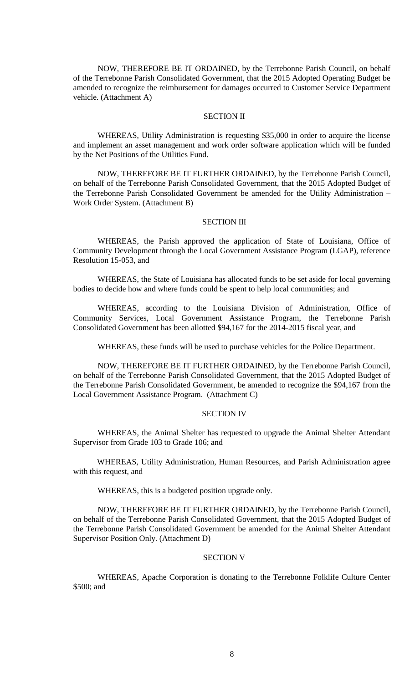NOW, THEREFORE BE IT ORDAINED, by the Terrebonne Parish Council, on behalf of the Terrebonne Parish Consolidated Government, that the 2015 Adopted Operating Budget be amended to recognize the reimbursement for damages occurred to Customer Service Department vehicle. (Attachment A)

## SECTION II

WHEREAS, Utility Administration is requesting \$35,000 in order to acquire the license and implement an asset management and work order software application which will be funded by the Net Positions of the Utilities Fund.

NOW, THEREFORE BE IT FURTHER ORDAINED, by the Terrebonne Parish Council, on behalf of the Terrebonne Parish Consolidated Government, that the 2015 Adopted Budget of the Terrebonne Parish Consolidated Government be amended for the Utility Administration – Work Order System. (Attachment B)

## SECTION III

WHEREAS, the Parish approved the application of State of Louisiana, Office of Community Development through the Local Government Assistance Program (LGAP), reference Resolution 15-053, and

WHEREAS, the State of Louisiana has allocated funds to be set aside for local governing bodies to decide how and where funds could be spent to help local communities; and

WHEREAS, according to the Louisiana Division of Administration, Office of Community Services, Local Government Assistance Program, the Terrebonne Parish Consolidated Government has been allotted \$94,167 for the 2014-2015 fiscal year, and

WHEREAS, these funds will be used to purchase vehicles for the Police Department.

NOW, THEREFORE BE IT FURTHER ORDAINED, by the Terrebonne Parish Council, on behalf of the Terrebonne Parish Consolidated Government, that the 2015 Adopted Budget of the Terrebonne Parish Consolidated Government, be amended to recognize the \$94,167 from the Local Government Assistance Program. (Attachment C)

### SECTION IV

WHEREAS, the Animal Shelter has requested to upgrade the Animal Shelter Attendant Supervisor from Grade 103 to Grade 106; and

WHEREAS, Utility Administration, Human Resources, and Parish Administration agree with this request, and

WHEREAS, this is a budgeted position upgrade only.

NOW, THEREFORE BE IT FURTHER ORDAINED, by the Terrebonne Parish Council, on behalf of the Terrebonne Parish Consolidated Government, that the 2015 Adopted Budget of the Terrebonne Parish Consolidated Government be amended for the Animal Shelter Attendant Supervisor Position Only. (Attachment D)

## SECTION V

WHEREAS, Apache Corporation is donating to the Terrebonne Folklife Culture Center \$500; and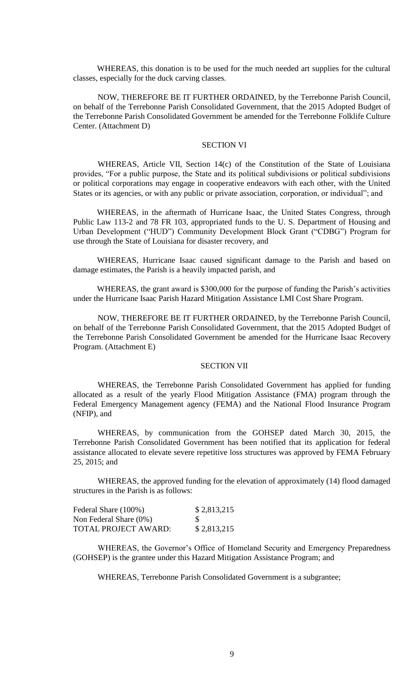WHEREAS, this donation is to be used for the much needed art supplies for the cultural classes, especially for the duck carving classes.

NOW, THEREFORE BE IT FURTHER ORDAINED, by the Terrebonne Parish Council, on behalf of the Terrebonne Parish Consolidated Government, that the 2015 Adopted Budget of the Terrebonne Parish Consolidated Government be amended for the Terrebonne Folklife Culture Center. (Attachment D)

## SECTION VI

WHEREAS, Article VII, Section 14(c) of the Constitution of the State of Louisiana provides, "For a public purpose, the State and its political subdivisions or political subdivisions or political corporations may engage in cooperative endeavors with each other, with the United States or its agencies, or with any public or private association, corporation, or individual"; and

WHEREAS, in the aftermath of Hurricane Isaac, the United States Congress, through Public Law 113-2 and 78 FR 103, appropriated funds to the U. S. Department of Housing and Urban Development ("HUD") Community Development Block Grant ("CDBG") Program for use through the State of Louisiana for disaster recovery, and

WHEREAS, Hurricane Isaac caused significant damage to the Parish and based on damage estimates, the Parish is a heavily impacted parish, and

WHEREAS, the grant award is \$300,000 for the purpose of funding the Parish's activities under the Hurricane Isaac Parish Hazard Mitigation Assistance LMI Cost Share Program.

NOW, THEREFORE BE IT FURTHER ORDAINED, by the Terrebonne Parish Council, on behalf of the Terrebonne Parish Consolidated Government, that the 2015 Adopted Budget of the Terrebonne Parish Consolidated Government be amended for the Hurricane Isaac Recovery Program. (Attachment E)

### SECTION VII

WHEREAS, the Terrebonne Parish Consolidated Government has applied for funding allocated as a result of the yearly Flood Mitigation Assistance (FMA) program through the Federal Emergency Management agency (FEMA) and the National Flood Insurance Program (NFIP), and

WHEREAS, by communication from the GOHSEP dated March 30, 2015, the Terrebonne Parish Consolidated Government has been notified that its application for federal assistance allocated to elevate severe repetitive loss structures was approved by FEMA February 25, 2015; and

WHEREAS, the approved funding for the elevation of approximately (14) flood damaged structures in the Parish is as follows:

| Federal Share (100%)   | \$2,813,215 |
|------------------------|-------------|
| Non Federal Share (0%) | -S          |
| TOTAL PROJECT AWARD:   | \$2,813,215 |

WHEREAS, the Governor's Office of Homeland Security and Emergency Preparedness (GOHSEP) is the grantee under this Hazard Mitigation Assistance Program; and

WHEREAS, Terrebonne Parish Consolidated Government is a subgrantee;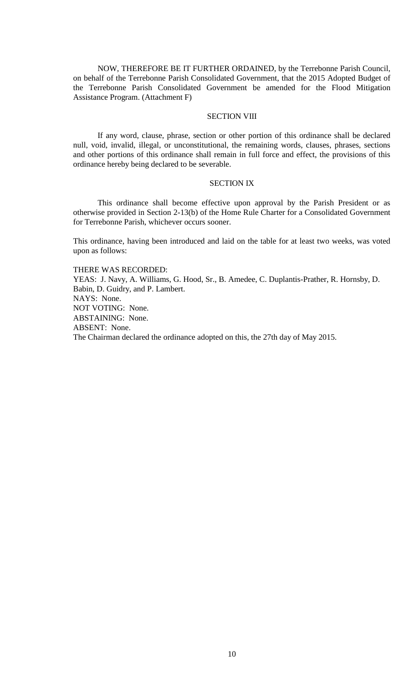NOW, THEREFORE BE IT FURTHER ORDAINED, by the Terrebonne Parish Council, on behalf of the Terrebonne Parish Consolidated Government, that the 2015 Adopted Budget of the Terrebonne Parish Consolidated Government be amended for the Flood Mitigation Assistance Program. (Attachment F)

## **SECTION VIII**

If any word, clause, phrase, section or other portion of this ordinance shall be declared null, void, invalid, illegal, or unconstitutional, the remaining words, clauses, phrases, sections and other portions of this ordinance shall remain in full force and effect, the provisions of this ordinance hereby being declared to be severable.

## SECTION IX

This ordinance shall become effective upon approval by the Parish President or as otherwise provided in Section 2-13(b) of the Home Rule Charter for a Consolidated Government for Terrebonne Parish, whichever occurs sooner.

This ordinance, having been introduced and laid on the table for at least two weeks, was voted upon as follows:

THERE WAS RECORDED: YEAS: J. Navy, A. Williams, G. Hood, Sr., B. Amedee, C. Duplantis-Prather, R. Hornsby, D. Babin, D. Guidry, and P. Lambert. NAYS: None. NOT VOTING: None. ABSTAINING: None. ABSENT: None. The Chairman declared the ordinance adopted on this, the 27th day of May 2015.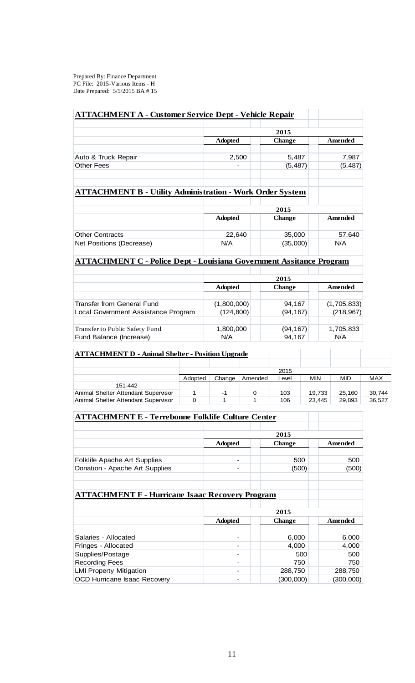Prepared By: Finance Department PC File: 2015-Various Items - H Date Prepared: 5/5/2015 BA # 15

| <b>ATTACHMENT A - Customer Service Dept - Vehicle Repair</b>               |                |               |                |
|----------------------------------------------------------------------------|----------------|---------------|----------------|
|                                                                            |                | 2015          |                |
|                                                                            | <b>Adopted</b> | <b>Change</b> | Amended        |
| Auto & Truck Repair                                                        | 2,500          | 5,487         | 7,987          |
| <b>Other Fees</b>                                                          |                | (5, 487)      | (5, 487)       |
| <b>ATTACHMENT B - Utility Administration - Work Order System</b>           |                |               |                |
|                                                                            |                | 2015          |                |
|                                                                            | <b>Adopted</b> | <b>Change</b> | Amended        |
| <b>Other Contracts</b>                                                     | 22,640         | 35,000        | 57,640         |
| Net Positions (Decrease)                                                   | N/A            | (35,000)      | N/A            |
| <b>ATTACHMENT C - Police Dept - Louisiana Government Assitance Program</b> |                |               |                |
|                                                                            |                | 2015          |                |
|                                                                            | <b>Adopted</b> | <b>Change</b> | <b>Amended</b> |
| <b>Transfer from General Fund</b>                                          | (1,800,000)    | 94,167        | (1,705,833)    |

| Local Government Assistance Program | (124.800) | (94, 167) | (218, 967) |
|-------------------------------------|-----------|-----------|------------|
|                                     |           |           |            |
| Transfer to Public Safety Fund      | 1,800,000 | (94.167)  | 1,705,833  |
| Fund Balance (Increase)             | N/A       | 94.167    | N/A        |

| <b>ATTACHMENT D - Animal Shelter - Position Upgrade</b> |         |        |         |       |        |        |        |
|---------------------------------------------------------|---------|--------|---------|-------|--------|--------|--------|
|                                                         |         |        |         |       |        |        |        |
|                                                         | 2015    |        |         |       |        |        |        |
|                                                         | Adopted | Change | Amended | ∟evel | MIN    | MID    | MAX    |
| 151-442                                                 |         |        |         |       |        |        |        |
| Animal Shelter Attendant Supervisor                     |         | -1     | 0       | 103   | 19.733 | 25.160 | 30,744 |
| Animal Shelter Attendant Supervisor                     | 0       |        |         | 106   | 23.445 | 29.893 | 36,527 |

| Allinial Orienter Attentiant Oupervisor                  |                          | 1 V V         | 20,440<br>29,090 |
|----------------------------------------------------------|--------------------------|---------------|------------------|
| <b>ATTACHMENT E - Terrebonne Folklife Culture Center</b> |                          |               |                  |
|                                                          |                          |               |                  |
|                                                          |                          | 2015          |                  |
|                                                          | <b>Adopted</b>           | <b>Change</b> | Amended          |
| Folklife Apache Art Supplies                             |                          | 500           | 500              |
| Donation - Apache Art Supplies                           |                          | (500)         | (500)            |
|                                                          |                          |               |                  |
| <b>ATTACHMENT F - Hurricane Isaac Recovery Program</b>   |                          |               |                  |
|                                                          |                          |               |                  |
|                                                          |                          | 2015          |                  |
|                                                          | <b>Adopted</b>           | <b>Change</b> | <b>Amended</b>   |
| Salaries - Allocated                                     |                          | 6,000         | 6,000            |
| Fringes - Allocated                                      |                          | 4,000         | 4,000            |
| Supplies/Postage                                         |                          | 500           | 500              |
| <b>Recording Fees</b>                                    | $\overline{\phantom{0}}$ | 750           | 750              |
| <b>LMI Property Mitigation</b>                           |                          | 288,750       | 288,750          |
| OCD Hurricane Isaac Recovery                             |                          | (300,000)     | (300,000)        |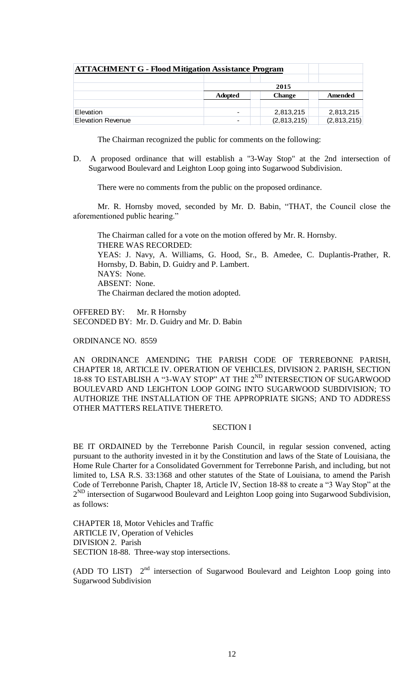| <b>ATTACHMENT G - Flood Mitigation Assistance Program</b> |                |               |             |
|-----------------------------------------------------------|----------------|---------------|-------------|
|                                                           |                |               |             |
|                                                           |                | 2015          |             |
|                                                           | <b>Adopted</b> | <b>Change</b> | Amended     |
|                                                           |                |               |             |
| Elevation                                                 |                | 2,813,215     | 2,813,215   |
| <b>Elevation Revenue</b>                                  |                | (2,813,215)   | (2,813,215) |

The Chairman recognized the public for comments on the following:

D. A proposed ordinance that will establish a "3-Way Stop" at the 2nd intersection of Sugarwood Boulevard and Leighton Loop going into Sugarwood Subdivision.

There were no comments from the public on the proposed ordinance.

Mr. R. Hornsby moved, seconded by Mr. D. Babin, "THAT, the Council close the aforementioned public hearing."

The Chairman called for a vote on the motion offered by Mr. R. Hornsby. THERE WAS RECORDED: YEAS: J. Navy, A. Williams, G. Hood, Sr., B. Amedee, C. Duplantis-Prather, R. Hornsby, D. Babin, D. Guidry and P. Lambert. NAYS: None. ABSENT: None. The Chairman declared the motion adopted.

OFFERED BY: Mr. R Hornsby SECONDED BY: Mr. D. Guidry and Mr. D. Babin

ORDINANCE NO. 8559

AN ORDINANCE AMENDING THE PARISH CODE OF TERREBONNE PARISH, CHAPTER 18, ARTICLE IV. OPERATION OF VEHICLES, DIVISION 2. PARISH, SECTION 18-88 TO ESTABLISH A "3-WAY STOP" AT THE 2<sup>ND</sup> INTERSECTION OF SUGARWOOD BOULEVARD AND LEIGHTON LOOP GOING INTO SUGARWOOD SUBDIVISION; TO AUTHORIZE THE INSTALLATION OF THE APPROPRIATE SIGNS; AND TO ADDRESS OTHER MATTERS RELATIVE THERETO.

## SECTION I

BE IT ORDAINED by the Terrebonne Parish Council, in regular session convened, acting pursuant to the authority invested in it by the Constitution and laws of the State of Louisiana, the Home Rule Charter for a Consolidated Government for Terrebonne Parish, and including, but not limited to, LSA R.S. 33:1368 and other statutes of the State of Louisiana, to amend the Parish Code of Terrebonne Parish, Chapter 18, Article IV, Section 18-88 to create a "3 Way Stop" at the 2<sup>ND</sup> intersection of Sugarwood Boulevard and Leighton Loop going into Sugarwood Subdivision, as follows:

CHAPTER 18, Motor Vehicles and Traffic ARTICLE IV, Operation of Vehicles DIVISION 2. Parish SECTION 18-88. Three-way stop intersections.

(ADD TO LIST)  $2<sup>nd</sup>$  intersection of Sugarwood Boulevard and Leighton Loop going into Sugarwood Subdivision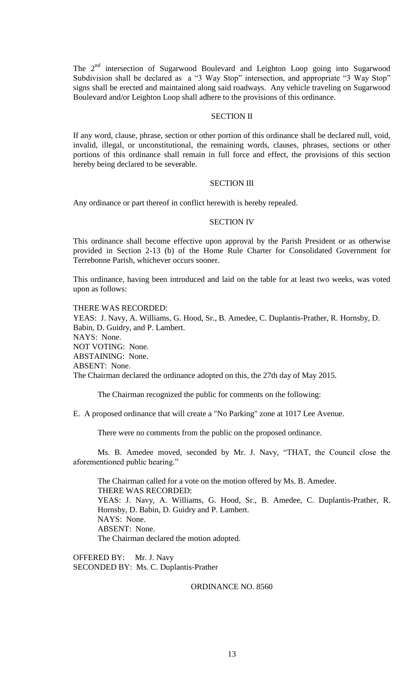The 2<sup>nd</sup> intersection of Sugarwood Boulevard and Leighton Loop going into Sugarwood Subdivision shall be declared as a "3 Way Stop" intersection, and appropriate "3 Way Stop" signs shall be erected and maintained along said roadways. Any vehicle traveling on Sugarwood Boulevard and/or Leighton Loop shall adhere to the provisions of this ordinance.

## SECTION II

If any word, clause, phrase, section or other portion of this ordinance shall be declared null, void, invalid, illegal, or unconstitutional, the remaining words, clauses, phrases, sections or other portions of this ordinance shall remain in full force and effect, the provisions of this section hereby being declared to be severable.

## SECTION III

Any ordinance or part thereof in conflict herewith is hereby repealed.

# SECTION IV

This ordinance shall become effective upon approval by the Parish President or as otherwise provided in Section 2-13 (b) of the Home Rule Charter for Consolidated Government for Terrebonne Parish, whichever occurs sooner.

This ordinance, having been introduced and laid on the table for at least two weeks, was voted upon as follows:

### THERE WAS RECORDED:

YEAS: J. Navy, A. Williams, G. Hood, Sr., B. Amedee, C. Duplantis-Prather, R. Hornsby, D. Babin, D. Guidry, and P. Lambert. NAYS: None. NOT VOTING: None. ABSTAINING: None. ABSENT: None. The Chairman declared the ordinance adopted on this, the 27th day of May 2015.

The Chairman recognized the public for comments on the following:

E. A proposed ordinance that will create a "No Parking" zone at 1017 Lee Avenue.

There were no comments from the public on the proposed ordinance.

Ms. B. Amedee moved, seconded by Mr. J. Navy, "THAT, the Council close the aforementioned public hearing."

The Chairman called for a vote on the motion offered by Ms. B. Amedee. THERE WAS RECORDED: YEAS: J. Navy, A. Williams, G. Hood, Sr., B. Amedee, C. Duplantis-Prather, R. Hornsby, D. Babin, D. Guidry and P. Lambert. NAYS: None. ABSENT: None. The Chairman declared the motion adopted.

OFFERED BY: Mr. J. Navy SECONDED BY: Ms. C. Duplantis-Prather

## ORDINANCE NO. 8560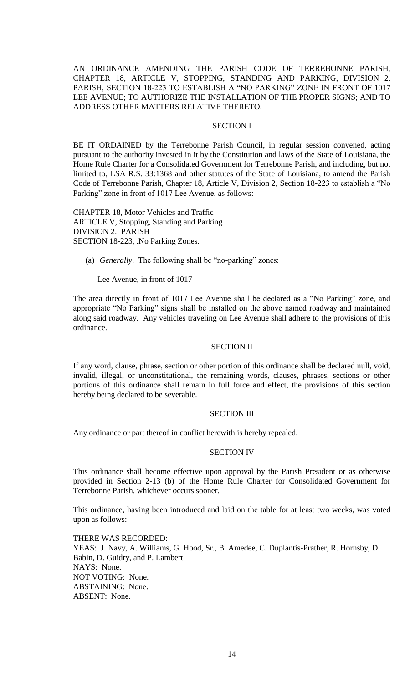AN ORDINANCE AMENDING THE PARISH CODE OF TERREBONNE PARISH, CHAPTER 18, ARTICLE V, STOPPING, STANDING AND PARKING, DIVISION 2. PARISH, SECTION 18-223 TO ESTABLISH A "NO PARKING" ZONE IN FRONT OF 1017 LEE AVENUE; TO AUTHORIZE THE INSTALLATION OF THE PROPER SIGNS; AND TO ADDRESS OTHER MATTERS RELATIVE THERETO.

## SECTION I

BE IT ORDAINED by the Terrebonne Parish Council, in regular session convened, acting pursuant to the authority invested in it by the Constitution and laws of the State of Louisiana, the Home Rule Charter for a Consolidated Government for Terrebonne Parish, and including, but not limited to, LSA R.S. 33:1368 and other statutes of the State of Louisiana, to amend the Parish Code of Terrebonne Parish, Chapter 18, Article V, Division 2, Section 18-223 to establish a "No Parking" zone in front of 1017 Lee Avenue, as follows:

CHAPTER 18, Motor Vehicles and Traffic ARTICLE V, Stopping, Standing and Parking DIVISION 2. PARISH SECTION 18-223, .No Parking Zones.

(a) *Generally*. The following shall be "no-parking" zones:

Lee Avenue, in front of 1017

The area directly in front of 1017 Lee Avenue shall be declared as a "No Parking" zone, and appropriate "No Parking" signs shall be installed on the above named roadway and maintained along said roadway. Any vehicles traveling on Lee Avenue shall adhere to the provisions of this ordinance.

## SECTION II

If any word, clause, phrase, section or other portion of this ordinance shall be declared null, void, invalid, illegal, or unconstitutional, the remaining words, clauses, phrases, sections or other portions of this ordinance shall remain in full force and effect, the provisions of this section hereby being declared to be severable.

## SECTION III

Any ordinance or part thereof in conflict herewith is hereby repealed.

## SECTION IV

This ordinance shall become effective upon approval by the Parish President or as otherwise provided in Section 2-13 (b) of the Home Rule Charter for Consolidated Government for Terrebonne Parish, whichever occurs sooner.

This ordinance, having been introduced and laid on the table for at least two weeks, was voted upon as follows:

THERE WAS RECORDED: YEAS: J. Navy, A. Williams, G. Hood, Sr., B. Amedee, C. Duplantis-Prather, R. Hornsby, D. Babin, D. Guidry, and P. Lambert. NAYS: None. NOT VOTING: None. ABSTAINING: None. ABSENT: None.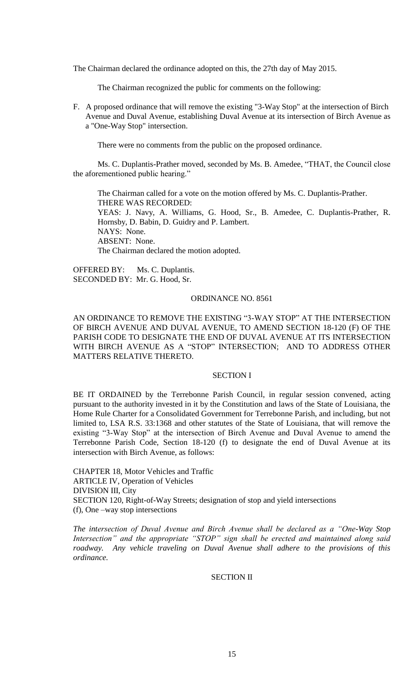The Chairman declared the ordinance adopted on this, the 27th day of May 2015.

The Chairman recognized the public for comments on the following:

F. A proposed ordinance that will remove the existing "3-Way Stop" at the intersection of Birch Avenue and Duval Avenue, establishing Duval Avenue at its intersection of Birch Avenue as a "One-Way Stop" intersection.

There were no comments from the public on the proposed ordinance.

Ms. C. Duplantis-Prather moved, seconded by Ms. B. Amedee, "THAT, the Council close the aforementioned public hearing."

The Chairman called for a vote on the motion offered by Ms. C. Duplantis-Prather. THERE WAS RECORDED: YEAS: J. Navy, A. Williams, G. Hood, Sr., B. Amedee, C. Duplantis-Prather, R. Hornsby, D. Babin, D. Guidry and P. Lambert. NAYS: None. ABSENT: None. The Chairman declared the motion adopted.

OFFERED BY: Ms. C. Duplantis. SECONDED BY: Mr. G. Hood, Sr.

## ORDINANCE NO. 8561

AN ORDINANCE TO REMOVE THE EXISTING "3-WAY STOP" AT THE INTERSECTION OF BIRCH AVENUE AND DUVAL AVENUE, TO AMEND SECTION 18-120 (F) OF THE PARISH CODE TO DESIGNATE THE END OF DUVAL AVENUE AT ITS INTERSECTION WITH BIRCH AVENUE AS A "STOP" INTERSECTION; AND TO ADDRESS OTHER MATTERS RELATIVE THERETO.

#### SECTION I

BE IT ORDAINED by the Terrebonne Parish Council, in regular session convened, acting pursuant to the authority invested in it by the Constitution and laws of the State of Louisiana, the Home Rule Charter for a Consolidated Government for Terrebonne Parish, and including, but not limited to, LSA R.S. 33:1368 and other statutes of the State of Louisiana, that will remove the existing "3-Way Stop" at the intersection of Birch Avenue and Duval Avenue to amend the Terrebonne Parish Code, Section 18-120 (f) to designate the end of Duval Avenue at its intersection with Birch Avenue, as follows:

CHAPTER 18, Motor Vehicles and Traffic ARTICLE IV, Operation of Vehicles DIVISION III, City SECTION 120, Right-of-Way Streets; designation of stop and yield intersections (f), One –way stop intersections

*The intersection of Duval Avenue and Birch Avenue shall be declared as a "One-Way Stop Intersection" and the appropriate "STOP" sign shall be erected and maintained along said roadway. Any vehicle traveling on Duval Avenue shall adhere to the provisions of this ordinance.*

# SECTION II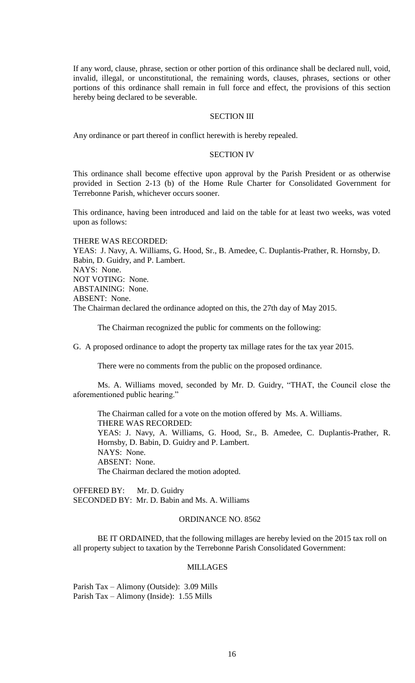If any word, clause, phrase, section or other portion of this ordinance shall be declared null, void, invalid, illegal, or unconstitutional, the remaining words, clauses, phrases, sections or other portions of this ordinance shall remain in full force and effect, the provisions of this section hereby being declared to be severable.

## SECTION III

Any ordinance or part thereof in conflict herewith is hereby repealed.

#### SECTION IV

This ordinance shall become effective upon approval by the Parish President or as otherwise provided in Section 2-13 (b) of the Home Rule Charter for Consolidated Government for Terrebonne Parish, whichever occurs sooner.

This ordinance, having been introduced and laid on the table for at least two weeks, was voted upon as follows:

THERE WAS RECORDED: YEAS: J. Navy, A. Williams, G. Hood, Sr., B. Amedee, C. Duplantis-Prather, R. Hornsby, D. Babin, D. Guidry, and P. Lambert. NAYS: None. NOT VOTING: None. ABSTAINING: None. ABSENT: None. The Chairman declared the ordinance adopted on this, the 27th day of May 2015.

The Chairman recognized the public for comments on the following:

G. A proposed ordinance to adopt the property tax millage rates for the tax year 2015.

There were no comments from the public on the proposed ordinance.

Ms. A. Williams moved, seconded by Mr. D. Guidry, "THAT, the Council close the aforementioned public hearing."

The Chairman called for a vote on the motion offered by Ms. A. Williams. THERE WAS RECORDED: YEAS: J. Navy, A. Williams, G. Hood, Sr., B. Amedee, C. Duplantis-Prather, R. Hornsby, D. Babin, D. Guidry and P. Lambert. NAYS: None. ABSENT: None. The Chairman declared the motion adopted.

OFFERED BY: Mr. D. Guidry SECONDED BY: Mr. D. Babin and Ms. A. Williams

## ORDINANCE NO. 8562

BE IT ORDAINED, that the following millages are hereby levied on the 2015 tax roll on all property subject to taxation by the Terrebonne Parish Consolidated Government:

## MILLAGES

Parish Tax – Alimony (Outside): 3.09 Mills Parish Tax – Alimony (Inside): 1.55 Mills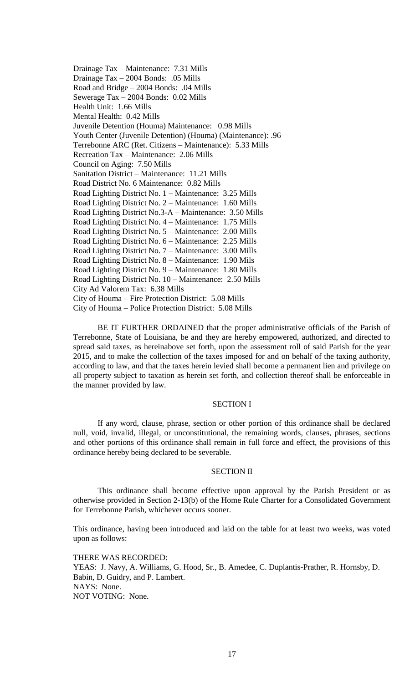Drainage Tax – Maintenance: 7.31 Mills Drainage Tax – 2004 Bonds: .05 Mills Road and Bridge – 2004 Bonds: .04 Mills Sewerage Tax – 2004 Bonds: 0.02 Mills Health Unit: 1.66 Mills Mental Health: 0.42 Mills Juvenile Detention (Houma) Maintenance: 0.98 Mills Youth Center (Juvenile Detention) (Houma) (Maintenance): .96 Terrebonne ARC (Ret. Citizens – Maintenance): 5.33 Mills Recreation Tax – Maintenance: 2.06 Mills Council on Aging: 7.50 Mills Sanitation District – Maintenance: 11.21 Mills Road District No. 6 Maintenance: 0.82 Mills Road Lighting District No. 1 – Maintenance: 3.25 Mills Road Lighting District No. 2 – Maintenance: 1.60 Mills Road Lighting District No.3-A – Maintenance: 3.50 Mills Road Lighting District No. 4 – Maintenance: 1.75 Mills Road Lighting District No. 5 – Maintenance: 2.00 Mills Road Lighting District No. 6 – Maintenance: 2.25 Mills Road Lighting District No. 7 – Maintenance: 3.00 Mills Road Lighting District No. 8 – Maintenance: 1.90 Mils Road Lighting District No. 9 – Maintenance: 1.80 Mills Road Lighting District No. 10 – Maintenance: 2.50 Mills City Ad Valorem Tax: 6.38 Mills City of Houma – Fire Protection District: 5.08 Mills City of Houma – Police Protection District: 5.08 Mills

BE IT FURTHER ORDAINED that the proper administrative officials of the Parish of Terrebonne, State of Louisiana, be and they are hereby empowered, authorized, and directed to spread said taxes, as hereinabove set forth, upon the assessment roll of said Parish for the year 2015, and to make the collection of the taxes imposed for and on behalf of the taxing authority, according to law, and that the taxes herein levied shall become a permanent lien and privilege on all property subject to taxation as herein set forth, and collection thereof shall be enforceable in the manner provided by law.

## SECTION I

If any word, clause, phrase, section or other portion of this ordinance shall be declared null, void, invalid, illegal, or unconstitutional, the remaining words, clauses, phrases, sections and other portions of this ordinance shall remain in full force and effect, the provisions of this ordinance hereby being declared to be severable.

## SECTION II

This ordinance shall become effective upon approval by the Parish President or as otherwise provided in Section 2-13(b) of the Home Rule Charter for a Consolidated Government for Terrebonne Parish, whichever occurs sooner.

This ordinance, having been introduced and laid on the table for at least two weeks, was voted upon as follows:

THERE WAS RECORDED: YEAS: J. Navy, A. Williams, G. Hood, Sr., B. Amedee, C. Duplantis-Prather, R. Hornsby, D. Babin, D. Guidry, and P. Lambert. NAYS: None. NOT VOTING: None.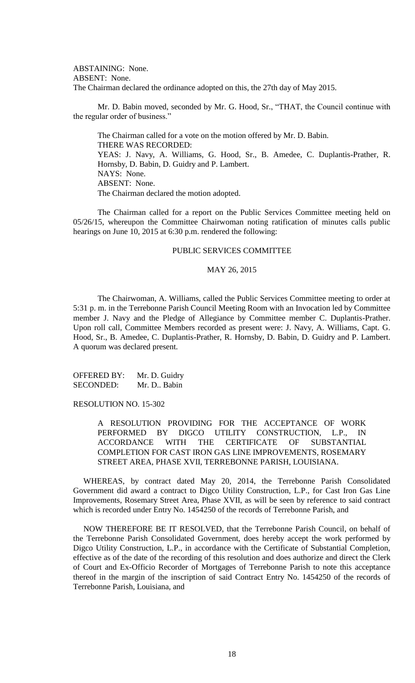ABSTAINING: None. ABSENT: None. The Chairman declared the ordinance adopted on this, the 27th day of May 2015.

Mr. D. Babin moved, seconded by Mr. G. Hood, Sr., "THAT, the Council continue with the regular order of business."

The Chairman called for a vote on the motion offered by Mr. D. Babin. THERE WAS RECORDED: YEAS: J. Navy, A. Williams, G. Hood, Sr., B. Amedee, C. Duplantis-Prather, R. Hornsby, D. Babin, D. Guidry and P. Lambert. NAYS: None. ABSENT: None. The Chairman declared the motion adopted.

The Chairman called for a report on the Public Services Committee meeting held on 05/26/15, whereupon the Committee Chairwoman noting ratification of minutes calls public hearings on June 10, 2015 at 6:30 p.m. rendered the following:

### PUBLIC SERVICES COMMITTEE

#### MAY 26, 2015

The Chairwoman, A. Williams, called the Public Services Committee meeting to order at 5:31 p. m. in the Terrebonne Parish Council Meeting Room with an Invocation led by Committee member J. Navy and the Pledge of Allegiance by Committee member C. Duplantis-Prather. Upon roll call, Committee Members recorded as present were: J. Navy, A. Williams, Capt. G. Hood, Sr., B. Amedee, C. Duplantis-Prather, R. Hornsby, D. Babin, D. Guidry and P. Lambert. A quorum was declared present.

OFFERED BY: Mr. D. Guidry SECONDED: Mr. D.. Babin

RESOLUTION NO. 15-302

A RESOLUTION PROVIDING FOR THE ACCEPTANCE OF WORK PERFORMED BY DIGCO UTILITY CONSTRUCTION, L.P., IN ACCORDANCE WITH THE CERTIFICATE OF SUBSTANTIAL COMPLETION FOR CAST IRON GAS LINE IMPROVEMENTS, ROSEMARY STREET AREA, PHASE XVII, TERREBONNE PARISH, LOUISIANA.

 WHEREAS, by contract dated May 20, 2014, the Terrebonne Parish Consolidated Government did award a contract to Digco Utility Construction, L.P., for Cast Iron Gas Line Improvements, Rosemary Street Area, Phase XVII, as will be seen by reference to said contract which is recorded under Entry No. 1454250 of the records of Terrebonne Parish, and

 NOW THEREFORE BE IT RESOLVED, that the Terrebonne Parish Council, on behalf of the Terrebonne Parish Consolidated Government, does hereby accept the work performed by Digco Utility Construction, L.P., in accordance with the Certificate of Substantial Completion, effective as of the date of the recording of this resolution and does authorize and direct the Clerk of Court and Ex-Officio Recorder of Mortgages of Terrebonne Parish to note this acceptance thereof in the margin of the inscription of said Contract Entry No. 1454250 of the records of Terrebonne Parish, Louisiana, and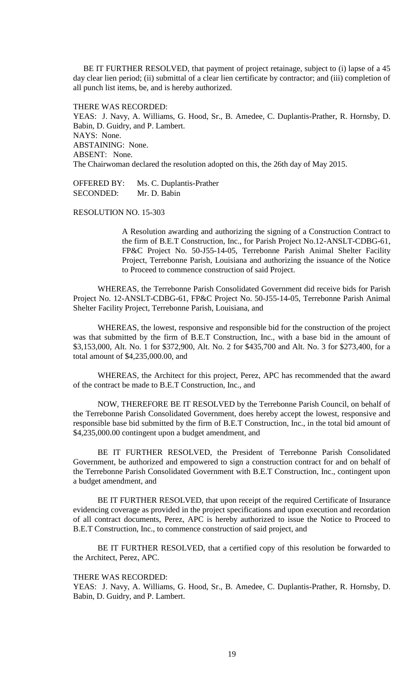BE IT FURTHER RESOLVED, that payment of project retainage, subject to (i) lapse of a 45 day clear lien period; (ii) submittal of a clear lien certificate by contractor; and (iii) completion of all punch list items, be, and is hereby authorized.

THERE WAS RECORDED:

YEAS: J. Navy, A. Williams, G. Hood, Sr., B. Amedee, C. Duplantis-Prather, R. Hornsby, D. Babin, D. Guidry, and P. Lambert. NAYS: None. ABSTAINING: None. ABSENT: None. The Chairwoman declared the resolution adopted on this, the 26th day of May 2015.

OFFERED BY: Ms. C. Duplantis-Prather SECONDED: Mr. D. Babin

RESOLUTION NO. 15-303

A Resolution awarding and authorizing the signing of a Construction Contract to the firm of B.E.T Construction, Inc., for Parish Project No.12-ANSLT-CDBG-61, FP&C Project No. 50-J55-14-05, Terrebonne Parish Animal Shelter Facility Project, Terrebonne Parish, Louisiana and authorizing the issuance of the Notice to Proceed to commence construction of said Project.

WHEREAS, the Terrebonne Parish Consolidated Government did receive bids for Parish Project No. 12-ANSLT-CDBG-61, FP&C Project No. 50-J55-14-05, Terrebonne Parish Animal Shelter Facility Project, Terrebonne Parish, Louisiana, and

WHEREAS, the lowest, responsive and responsible bid for the construction of the project was that submitted by the firm of B.E.T Construction, Inc., with a base bid in the amount of \$3,153,000, Alt. No. 1 for \$372,900, Alt. No. 2 for \$435,700 and Alt. No. 3 for \$273,400, for a total amount of \$4,235,000.00, and

WHEREAS, the Architect for this project, Perez, APC has recommended that the award of the contract be made to B.E.T Construction, Inc., and

NOW, THEREFORE BE IT RESOLVED by the Terrebonne Parish Council, on behalf of the Terrebonne Parish Consolidated Government, does hereby accept the lowest, responsive and responsible base bid submitted by the firm of B.E.T Construction, Inc., in the total bid amount of \$4,235,000.00 contingent upon a budget amendment, and

BE IT FURTHER RESOLVED, the President of Terrebonne Parish Consolidated Government, be authorized and empowered to sign a construction contract for and on behalf of the Terrebonne Parish Consolidated Government with B.E.T Construction, Inc., contingent upon a budget amendment, and

BE IT FURTHER RESOLVED, that upon receipt of the required Certificate of Insurance evidencing coverage as provided in the project specifications and upon execution and recordation of all contract documents, Perez, APC is hereby authorized to issue the Notice to Proceed to B.E.T Construction, Inc., to commence construction of said project, and

BE IT FURTHER RESOLVED, that a certified copy of this resolution be forwarded to the Architect, Perez, APC.

THERE WAS RECORDED:

YEAS: J. Navy, A. Williams, G. Hood, Sr., B. Amedee, C. Duplantis-Prather, R. Hornsby, D. Babin, D. Guidry, and P. Lambert.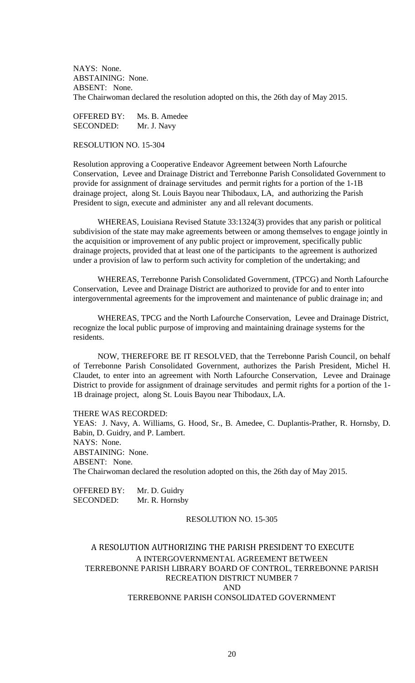NAYS: None. ABSTAINING: None. ABSENT: None. The Chairwoman declared the resolution adopted on this, the 26th day of May 2015.

OFFERED BY: Ms. B. Amedee SECONDED: Mr. J. Navy

RESOLUTION NO. 15-304

Resolution approving a Cooperative Endeavor Agreement between North Lafourche Conservation, Levee and Drainage District and Terrebonne Parish Consolidated Government to provide for assignment of drainage servitudes and permit rights for a portion of the 1-1B drainage project, along St. Louis Bayou near Thibodaux, LA, and authorizing the Parish President to sign, execute and administer any and all relevant documents.

WHEREAS, Louisiana Revised Statute 33:1324(3) provides that any parish or political subdivision of the state may make agreements between or among themselves to engage jointly in the acquisition or improvement of any public project or improvement, specifically public drainage projects, provided that at least one of the participants to the agreement is authorized under a provision of law to perform such activity for completion of the undertaking; and

WHEREAS, Terrebonne Parish Consolidated Government, (TPCG) and North Lafourche Conservation, Levee and Drainage District are authorized to provide for and to enter into intergovernmental agreements for the improvement and maintenance of public drainage in; and

WHEREAS, TPCG and the North Lafourche Conservation, Levee and Drainage District, recognize the local public purpose of improving and maintaining drainage systems for the residents.

NOW, THEREFORE BE IT RESOLVED, that the Terrebonne Parish Council, on behalf of Terrebonne Parish Consolidated Government, authorizes the Parish President, Michel H. Claudet, to enter into an agreement with North Lafourche Conservation, Levee and Drainage District to provide for assignment of drainage servitudes and permit rights for a portion of the 1- 1B drainage project, along St. Louis Bayou near Thibodaux, LA.

THERE WAS RECORDED:

YEAS: J. Navy, A. Williams, G. Hood, Sr., B. Amedee, C. Duplantis-Prather, R. Hornsby, D. Babin, D. Guidry, and P. Lambert. NAYS: None. ABSTAINING: None. ABSENT: None. The Chairwoman declared the resolution adopted on this, the 26th day of May 2015.

OFFERED BY: Mr. D. Guidry SECONDED: Mr. R. Hornsby

## RESOLUTION NO. 15-305

# A RESOLUTION AUTHORIZING THE PARISH PRESIDENT TO EXECUTE A INTERGOVERNMENTAL AGREEMENT BETWEEN TERREBONNE PARISH LIBRARY BOARD OF CONTROL, TERREBONNE PARISH RECREATION DISTRICT NUMBER 7 AND TERREBONNE PARISH CONSOLIDATED GOVERNMENT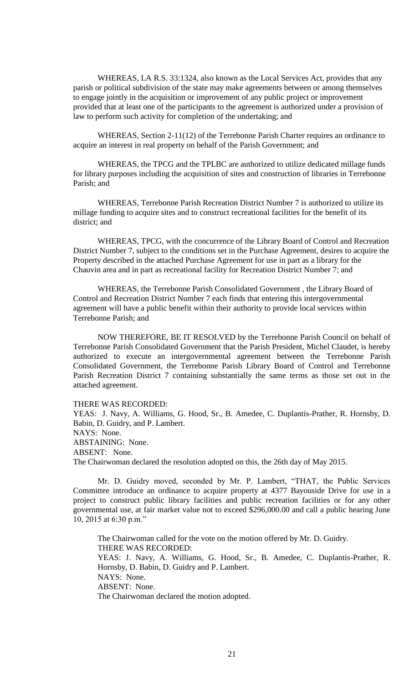WHEREAS, LA R.S. 33:1324, also known as the Local Services Act, provides that any parish or political subdivision of the state may make agreements between or among themselves to engage jointly in the acquisition or improvement of any public project or improvement provided that at least one of the participants to the agreement is authorized under a provision of law to perform such activity for completion of the undertaking; and

WHEREAS, Section 2-11(12) of the Terrebonne Parish Charter requires an ordinance to acquire an interest in real property on behalf of the Parish Government; and

WHEREAS, the TPCG and the TPLBC are authorized to utilize dedicated millage funds for library purposes including the acquisition of sites and construction of libraries in Terrebonne Parish; and

WHEREAS, Terrebonne Parish Recreation District Number 7 is authorized to utilize its millage funding to acquire sites and to construct recreational facilities for the benefit of its district; and

WHEREAS, TPCG, with the concurrence of the Library Board of Control and Recreation District Number 7, subject to the conditions set in the Purchase Agreement, desires to acquire the Property described in the attached Purchase Agreement for use in part as a library for the Chauvin area and in part as recreational facility for Recreation District Number 7; and

WHEREAS, the Terrebonne Parish Consolidated Government , the Library Board of Control and Recreation District Number 7 each finds that entering this intergovernmental agreement will have a public benefit within their authority to provide local services within Terrebonne Parish; and

NOW THEREFORE, BE IT RESOLVED by the Terrebonne Parish Council on behalf of Terrebonne Parish Consolidated Government that the Parish President, Michel Claudet, is hereby authorized to execute an intergovernmental agreement between the Terrebonne Parish Consolidated Government, the Terrebonne Parish Library Board of Control and Terrebonne Parish Recreation District 7 containing substantially the same terms as those set out in the attached agreement.

THERE WAS RECORDED:

YEAS: J. Navy, A. Williams, G. Hood, Sr., B. Amedee, C. Duplantis-Prather, R. Hornsby, D. Babin, D. Guidry, and P. Lambert. NAYS: None. ABSTAINING: None. ABSENT: None. The Chairwoman declared the resolution adopted on this, the 26th day of May 2015.

Mr. D. Guidry moved, seconded by Mr. P. Lambert, "THAT, the Public Services Committee introduce an ordinance to acquire property at 4377 Bayouside Drive for use in a project to construct public library facilities and public recreation facilities or for any other governmental use, at fair market value not to exceed \$296,000.00 and call a public hearing June 10, 2015 at 6:30 p.m."

The Chairwoman called for the vote on the motion offered by Mr. D. Guidry. THERE WAS RECORDED: YEAS: J. Navy, A. Williams, G. Hood, Sr., B. Amedee, C. Duplantis-Prather, R. Hornsby, D. Babin, D. Guidry and P. Lambert. NAYS: None. ABSENT: None. The Chairwoman declared the motion adopted.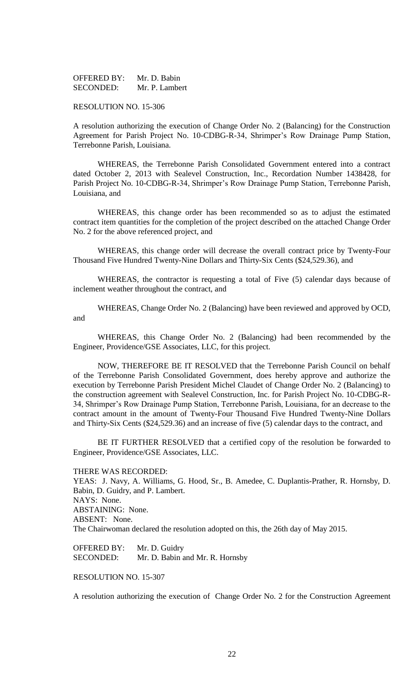| <b>OFFERED BY:</b> | Mr. D. Babin   |
|--------------------|----------------|
| SECONDED:          | Mr. P. Lambert |

#### RESOLUTION NO. 15-306

A resolution authorizing the execution of Change Order No. 2 (Balancing) for the Construction Agreement for Parish Project No. 10-CDBG-R-34, Shrimper's Row Drainage Pump Station, Terrebonne Parish, Louisiana.

WHEREAS, the Terrebonne Parish Consolidated Government entered into a contract dated October 2, 2013 with Sealevel Construction, Inc., Recordation Number 1438428, for Parish Project No. 10-CDBG-R-34, Shrimper's Row Drainage Pump Station, Terrebonne Parish, Louisiana, and

WHEREAS, this change order has been recommended so as to adjust the estimated contract item quantities for the completion of the project described on the attached Change Order No. 2 for the above referenced project, and

WHEREAS, this change order will decrease the overall contract price by Twenty-Four Thousand Five Hundred Twenty-Nine Dollars and Thirty-Six Cents (\$24,529.36), and

WHEREAS, the contractor is requesting a total of Five (5) calendar days because of inclement weather throughout the contract, and

WHEREAS, Change Order No. 2 (Balancing) have been reviewed and approved by OCD, and

WHEREAS, this Change Order No. 2 (Balancing) had been recommended by the Engineer, Providence/GSE Associates, LLC, for this project.

NOW, THEREFORE BE IT RESOLVED that the Terrebonne Parish Council on behalf of the Terrebonne Parish Consolidated Government, does hereby approve and authorize the execution by Terrebonne Parish President Michel Claudet of Change Order No. 2 (Balancing) to the construction agreement with Sealevel Construction, Inc. for Parish Project No. 10-CDBG-R-34, Shrimper's Row Drainage Pump Station, Terrebonne Parish, Louisiana, for an decrease to the contract amount in the amount of Twenty-Four Thousand Five Hundred Twenty-Nine Dollars and Thirty-Six Cents (\$24,529.36) and an increase of five (5) calendar days to the contract, and

BE IT FURTHER RESOLVED that a certified copy of the resolution be forwarded to Engineer, Providence/GSE Associates, LLC.

#### THERE WAS RECORDED:

YEAS: J. Navy, A. Williams, G. Hood, Sr., B. Amedee, C. Duplantis-Prather, R. Hornsby, D. Babin, D. Guidry, and P. Lambert. NAYS: None. ABSTAINING: None. ABSENT: None. The Chairwoman declared the resolution adopted on this, the 26th day of May 2015.

OFFERED BY: Mr. D. Guidry SECONDED: Mr. D. Babin and Mr. R. Hornsby

# RESOLUTION NO. 15-307

A resolution authorizing the execution of Change Order No. 2 for the Construction Agreement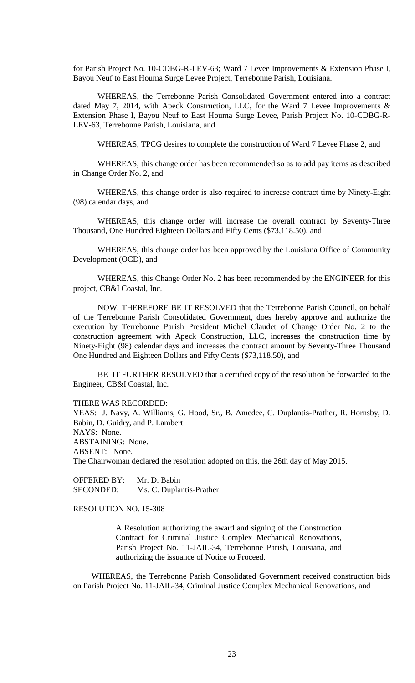for Parish Project No. 10-CDBG-R-LEV-63; Ward 7 Levee Improvements & Extension Phase I, Bayou Neuf to East Houma Surge Levee Project, Terrebonne Parish, Louisiana.

WHEREAS, the Terrebonne Parish Consolidated Government entered into a contract dated May 7, 2014, with Apeck Construction, LLC, for the Ward 7 Levee Improvements & Extension Phase I, Bayou Neuf to East Houma Surge Levee, Parish Project No. 10-CDBG-R-LEV-63, Terrebonne Parish, Louisiana, and

WHEREAS, TPCG desires to complete the construction of Ward 7 Levee Phase 2, and

WHEREAS, this change order has been recommended so as to add pay items as described in Change Order No. 2, and

WHEREAS, this change order is also required to increase contract time by Ninety-Eight (98) calendar days, and

WHEREAS, this change order will increase the overall contract by Seventy-Three Thousand, One Hundred Eighteen Dollars and Fifty Cents (\$73,118.50), and

WHEREAS, this change order has been approved by the Louisiana Office of Community Development (OCD), and

WHEREAS, this Change Order No. 2 has been recommended by the ENGINEER for this project, CB&I Coastal, Inc.

NOW, THEREFORE BE IT RESOLVED that the Terrebonne Parish Council, on behalf of the Terrebonne Parish Consolidated Government, does hereby approve and authorize the execution by Terrebonne Parish President Michel Claudet of Change Order No. 2 to the construction agreement with Apeck Construction, LLC, increases the construction time by Ninety-Eight (98) calendar days and increases the contract amount by Seventy-Three Thousand One Hundred and Eighteen Dollars and Fifty Cents (\$73,118.50), and

BE IT FURTHER RESOLVED that a certified copy of the resolution be forwarded to the Engineer, CB&I Coastal, Inc.

THERE WAS RECORDED:

YEAS: J. Navy, A. Williams, G. Hood, Sr., B. Amedee, C. Duplantis-Prather, R. Hornsby, D. Babin, D. Guidry, and P. Lambert. NAYS: None. ABSTAINING: None. ABSENT: None. The Chairwoman declared the resolution adopted on this, the 26th day of May 2015.

OFFERED BY: Mr. D. Babin SECONDED: Ms. C. Duplantis-Prather

RESOLUTION NO. 15-308

A Resolution authorizing the award and signing of the Construction Contract for Criminal Justice Complex Mechanical Renovations, Parish Project No. 11-JAIL-34, Terrebonne Parish, Louisiana, and authorizing the issuance of Notice to Proceed.

WHEREAS, the Terrebonne Parish Consolidated Government received construction bids on Parish Project No. 11-JAIL-34, Criminal Justice Complex Mechanical Renovations, and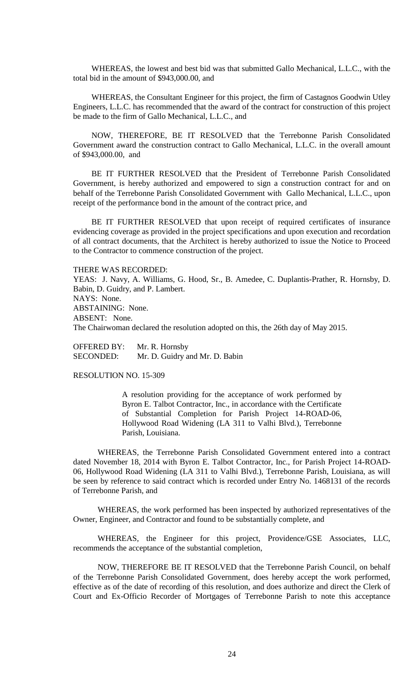WHEREAS, the lowest and best bid was that submitted Gallo Mechanical, L.L.C., with the total bid in the amount of \$943,000.00, and

WHEREAS, the Consultant Engineer for this project, the firm of Castagnos Goodwin Utley Engineers, L.L.C. has recommended that the award of the contract for construction of this project be made to the firm of Gallo Mechanical, L.L.C., and

NOW, THEREFORE, BE IT RESOLVED that the Terrebonne Parish Consolidated Government award the construction contract to Gallo Mechanical, L.L.C. in the overall amount of \$943,000.00, and

BE IT FURTHER RESOLVED that the President of Terrebonne Parish Consolidated Government, is hereby authorized and empowered to sign a construction contract for and on behalf of the Terrebonne Parish Consolidated Government with Gallo Mechanical, L.L.C., upon receipt of the performance bond in the amount of the contract price, and

BE IT FURTHER RESOLVED that upon receipt of required certificates of insurance evidencing coverage as provided in the project specifications and upon execution and recordation of all contract documents, that the Architect is hereby authorized to issue the Notice to Proceed to the Contractor to commence construction of the project.

THERE WAS RECORDED:

YEAS: J. Navy, A. Williams, G. Hood, Sr., B. Amedee, C. Duplantis-Prather, R. Hornsby, D. Babin, D. Guidry, and P. Lambert. NAYS: None. ABSTAINING: None. ABSENT: None. The Chairwoman declared the resolution adopted on this, the 26th day of May 2015.

OFFERED BY: Mr. R. Hornsby SECONDED: Mr. D. Guidry and Mr. D. Babin

RESOLUTION NO. 15-309

A resolution providing for the acceptance of work performed by Byron E. Talbot Contractor, Inc., in accordance with the Certificate of Substantial Completion for Parish Project 14-ROAD-06, Hollywood Road Widening (LA 311 to Valhi Blvd.), Terrebonne Parish, Louisiana.

WHEREAS, the Terrebonne Parish Consolidated Government entered into a contract dated November 18, 2014 with Byron E. Talbot Contractor, Inc., for Parish Project 14-ROAD-06, Hollywood Road Widening (LA 311 to Valhi Blvd.), Terrebonne Parish, Louisiana, as will be seen by reference to said contract which is recorded under Entry No. 1468131 of the records of Terrebonne Parish, and

WHEREAS, the work performed has been inspected by authorized representatives of the Owner, Engineer, and Contractor and found to be substantially complete, and

WHEREAS, the Engineer for this project, Providence/GSE Associates, LLC, recommends the acceptance of the substantial completion,

NOW, THEREFORE BE IT RESOLVED that the Terrebonne Parish Council, on behalf of the Terrebonne Parish Consolidated Government, does hereby accept the work performed, effective as of the date of recording of this resolution, and does authorize and direct the Clerk of Court and Ex-Officio Recorder of Mortgages of Terrebonne Parish to note this acceptance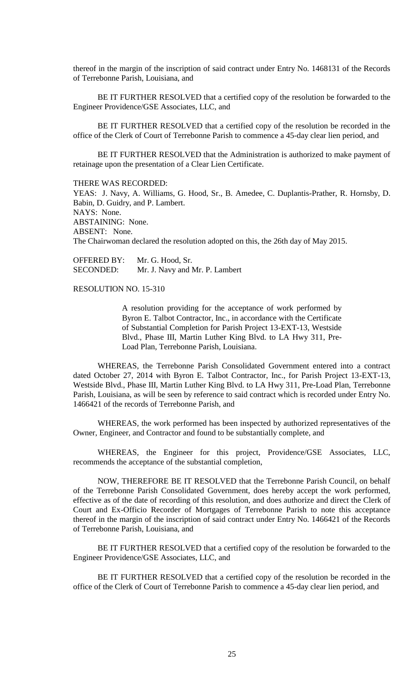thereof in the margin of the inscription of said contract under Entry No. 1468131 of the Records of Terrebonne Parish, Louisiana, and

BE IT FURTHER RESOLVED that a certified copy of the resolution be forwarded to the Engineer Providence/GSE Associates, LLC, and

BE IT FURTHER RESOLVED that a certified copy of the resolution be recorded in the office of the Clerk of Court of Terrebonne Parish to commence a 45-day clear lien period, and

BE IT FURTHER RESOLVED that the Administration is authorized to make payment of retainage upon the presentation of a Clear Lien Certificate.

THERE WAS RECORDED:

YEAS: J. Navy, A. Williams, G. Hood, Sr., B. Amedee, C. Duplantis-Prather, R. Hornsby, D. Babin, D. Guidry, and P. Lambert. NAYS: None. ABSTAINING: None. ABSENT: None. The Chairwoman declared the resolution adopted on this, the 26th day of May 2015.

OFFERED BY: Mr. G. Hood, Sr. SECONDED: Mr. J. Navy and Mr. P. Lambert

## RESOLUTION NO. 15-310

A resolution providing for the acceptance of work performed by Byron E. Talbot Contractor, Inc., in accordance with the Certificate of Substantial Completion for Parish Project 13-EXT-13, Westside Blvd., Phase III, Martin Luther King Blvd. to LA Hwy 311, Pre-Load Plan, Terrebonne Parish, Louisiana.

WHEREAS, the Terrebonne Parish Consolidated Government entered into a contract dated October 27, 2014 with Byron E. Talbot Contractor, Inc., for Parish Project 13-EXT-13, Westside Blvd., Phase III, Martin Luther King Blvd. to LA Hwy 311, Pre-Load Plan, Terrebonne Parish, Louisiana, as will be seen by reference to said contract which is recorded under Entry No. 1466421 of the records of Terrebonne Parish, and

WHEREAS, the work performed has been inspected by authorized representatives of the Owner, Engineer, and Contractor and found to be substantially complete, and

WHEREAS, the Engineer for this project, Providence/GSE Associates, LLC, recommends the acceptance of the substantial completion,

NOW, THEREFORE BE IT RESOLVED that the Terrebonne Parish Council, on behalf of the Terrebonne Parish Consolidated Government, does hereby accept the work performed, effective as of the date of recording of this resolution, and does authorize and direct the Clerk of Court and Ex-Officio Recorder of Mortgages of Terrebonne Parish to note this acceptance thereof in the margin of the inscription of said contract under Entry No. 1466421 of the Records of Terrebonne Parish, Louisiana, and

BE IT FURTHER RESOLVED that a certified copy of the resolution be forwarded to the Engineer Providence/GSE Associates, LLC, and

BE IT FURTHER RESOLVED that a certified copy of the resolution be recorded in the office of the Clerk of Court of Terrebonne Parish to commence a 45-day clear lien period, and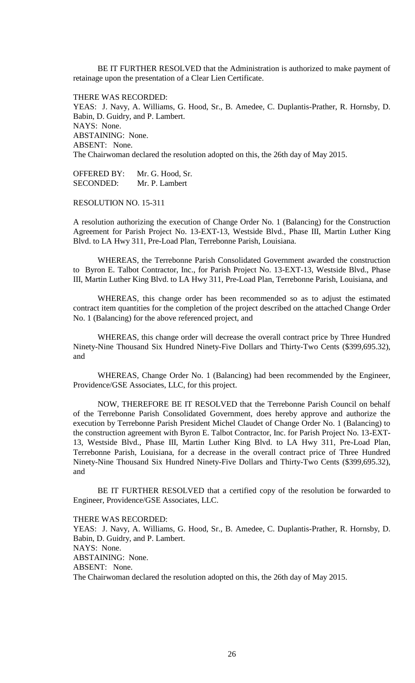BE IT FURTHER RESOLVED that the Administration is authorized to make payment of retainage upon the presentation of a Clear Lien Certificate.

THERE WAS RECORDED: YEAS: J. Navy, A. Williams, G. Hood, Sr., B. Amedee, C. Duplantis-Prather, R. Hornsby, D. Babin, D. Guidry, and P. Lambert. NAYS: None. ABSTAINING: None. ABSENT: None. The Chairwoman declared the resolution adopted on this, the 26th day of May 2015.

OFFERED BY: Mr. G. Hood, Sr. SECONDED: Mr. P. Lambert

RESOLUTION NO. 15-311

A resolution authorizing the execution of Change Order No. 1 (Balancing) for the Construction Agreement for Parish Project No. 13-EXT-13, Westside Blvd., Phase III, Martin Luther King Blvd. to LA Hwy 311, Pre-Load Plan, Terrebonne Parish, Louisiana.

WHEREAS, the Terrebonne Parish Consolidated Government awarded the construction to Byron E. Talbot Contractor, Inc., for Parish Project No. 13-EXT-13, Westside Blvd., Phase III, Martin Luther King Blvd. to LA Hwy 311, Pre-Load Plan, Terrebonne Parish, Louisiana, and

WHEREAS, this change order has been recommended so as to adjust the estimated contract item quantities for the completion of the project described on the attached Change Order No. 1 (Balancing) for the above referenced project, and

WHEREAS, this change order will decrease the overall contract price by Three Hundred Ninety-Nine Thousand Six Hundred Ninety-Five Dollars and Thirty-Two Cents (\$399,695.32), and

WHEREAS, Change Order No. 1 (Balancing) had been recommended by the Engineer, Providence/GSE Associates, LLC, for this project.

NOW, THEREFORE BE IT RESOLVED that the Terrebonne Parish Council on behalf of the Terrebonne Parish Consolidated Government, does hereby approve and authorize the execution by Terrebonne Parish President Michel Claudet of Change Order No. 1 (Balancing) to the construction agreement with Byron E. Talbot Contractor, Inc. for Parish Project No. 13-EXT-13, Westside Blvd., Phase III, Martin Luther King Blvd. to LA Hwy 311, Pre-Load Plan, Terrebonne Parish, Louisiana, for a decrease in the overall contract price of Three Hundred Ninety-Nine Thousand Six Hundred Ninety-Five Dollars and Thirty-Two Cents (\$399,695.32), and

BE IT FURTHER RESOLVED that a certified copy of the resolution be forwarded to Engineer, Providence/GSE Associates, LLC.

THERE WAS RECORDED:

YEAS: J. Navy, A. Williams, G. Hood, Sr., B. Amedee, C. Duplantis-Prather, R. Hornsby, D. Babin, D. Guidry, and P. Lambert. NAYS: None. ABSTAINING: None. ABSENT: None. The Chairwoman declared the resolution adopted on this, the 26th day of May 2015.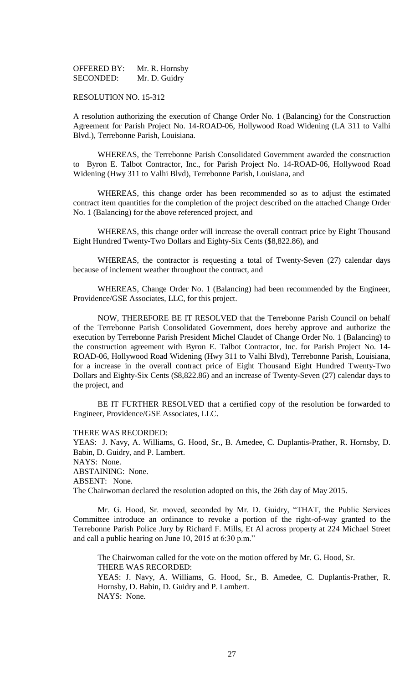OFFERED BY: Mr. R. Hornsby SECONDED: Mr. D. Guidry

## RESOLUTION NO. 15-312

A resolution authorizing the execution of Change Order No. 1 (Balancing) for the Construction Agreement for Parish Project No. 14-ROAD-06, Hollywood Road Widening (LA 311 to Valhi Blvd.), Terrebonne Parish, Louisiana.

WHEREAS, the Terrebonne Parish Consolidated Government awarded the construction to Byron E. Talbot Contractor, Inc., for Parish Project No. 14-ROAD-06, Hollywood Road Widening (Hwy 311 to Valhi Blvd), Terrebonne Parish, Louisiana, and

WHEREAS, this change order has been recommended so as to adjust the estimated contract item quantities for the completion of the project described on the attached Change Order No. 1 (Balancing) for the above referenced project, and

WHEREAS, this change order will increase the overall contract price by Eight Thousand Eight Hundred Twenty-Two Dollars and Eighty-Six Cents (\$8,822.86), and

WHEREAS, the contractor is requesting a total of Twenty-Seven (27) calendar days because of inclement weather throughout the contract, and

WHEREAS, Change Order No. 1 (Balancing) had been recommended by the Engineer, Providence/GSE Associates, LLC, for this project.

NOW, THEREFORE BE IT RESOLVED that the Terrebonne Parish Council on behalf of the Terrebonne Parish Consolidated Government, does hereby approve and authorize the execution by Terrebonne Parish President Michel Claudet of Change Order No. 1 (Balancing) to the construction agreement with Byron E. Talbot Contractor, Inc. for Parish Project No. 14- ROAD-06, Hollywood Road Widening (Hwy 311 to Valhi Blvd), Terrebonne Parish, Louisiana, for a increase in the overall contract price of Eight Thousand Eight Hundred Twenty-Two Dollars and Eighty-Six Cents (\$8,822.86) and an increase of Twenty-Seven (27) calendar days to the project, and

BE IT FURTHER RESOLVED that a certified copy of the resolution be forwarded to Engineer, Providence/GSE Associates, LLC.

THERE WAS RECORDED:

YEAS: J. Navy, A. Williams, G. Hood, Sr., B. Amedee, C. Duplantis-Prather, R. Hornsby, D. Babin, D. Guidry, and P. Lambert. NAYS: None. ABSTAINING: None. ABSENT: None.

The Chairwoman declared the resolution adopted on this, the 26th day of May 2015.

Mr. G. Hood, Sr. moved, seconded by Mr. D. Guidry, "THAT, the Public Services Committee introduce an ordinance to revoke a portion of the right-of-way granted to the Terrebonne Parish Police Jury by Richard F. Mills, Et Al across property at 224 Michael Street and call a public hearing on June 10, 2015 at 6:30 p.m."

The Chairwoman called for the vote on the motion offered by Mr. G. Hood, Sr. THERE WAS RECORDED: YEAS: J. Navy, A. Williams, G. Hood, Sr., B. Amedee, C. Duplantis-Prather, R.

Hornsby, D. Babin, D. Guidry and P. Lambert. NAYS: None.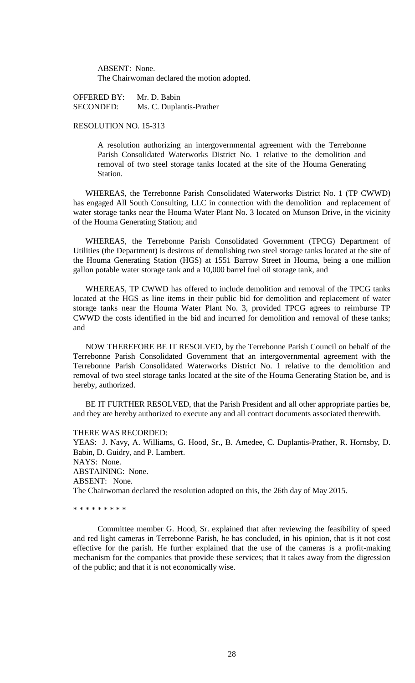ABSENT: None. The Chairwoman declared the motion adopted.

OFFERED BY: Mr. D. Babin SECONDED: Ms. C. Duplantis-Prather

# RESOLUTION NO. 15-313

A resolution authorizing an intergovernmental agreement with the Terrebonne Parish Consolidated Waterworks District No. 1 relative to the demolition and removal of two steel storage tanks located at the site of the Houma Generating Station.

WHEREAS, the Terrebonne Parish Consolidated Waterworks District No. 1 (TP CWWD) has engaged All South Consulting, LLC in connection with the demolition and replacement of water storage tanks near the Houma Water Plant No. 3 located on Munson Drive, in the vicinity of the Houma Generating Station; and

WHEREAS, the Terrebonne Parish Consolidated Government (TPCG) Department of Utilities (the Department) is desirous of demolishing two steel storage tanks located at the site of the Houma Generating Station (HGS) at 1551 Barrow Street in Houma, being a one million gallon potable water storage tank and a 10,000 barrel fuel oil storage tank, and

WHEREAS, TP CWWD has offered to include demolition and removal of the TPCG tanks located at the HGS as line items in their public bid for demolition and replacement of water storage tanks near the Houma Water Plant No. 3, provided TPCG agrees to reimburse TP CWWD the costs identified in the bid and incurred for demolition and removal of these tanks; and

NOW THEREFORE BE IT RESOLVED, by the Terrebonne Parish Council on behalf of the Terrebonne Parish Consolidated Government that an intergovernmental agreement with the Terrebonne Parish Consolidated Waterworks District No. 1 relative to the demolition and removal of two steel storage tanks located at the site of the Houma Generating Station be, and is hereby, authorized.

BE IT FURTHER RESOLVED, that the Parish President and all other appropriate parties be, and they are hereby authorized to execute any and all contract documents associated therewith.

### THERE WAS RECORDED:

YEAS: J. Navy, A. Williams, G. Hood, Sr., B. Amedee, C. Duplantis-Prather, R. Hornsby, D. Babin, D. Guidry, and P. Lambert. NAYS: None. ABSTAINING: None. ABSENT: None. The Chairwoman declared the resolution adopted on this, the 26th day of May 2015.

\* \* \* \* \* \* \* \* \*

Committee member G. Hood, Sr. explained that after reviewing the feasibility of speed and red light cameras in Terrebonne Parish, he has concluded, in his opinion, that is it not cost effective for the parish. He further explained that the use of the cameras is a profit-making mechanism for the companies that provide these services; that it takes away from the digression of the public; and that it is not economically wise.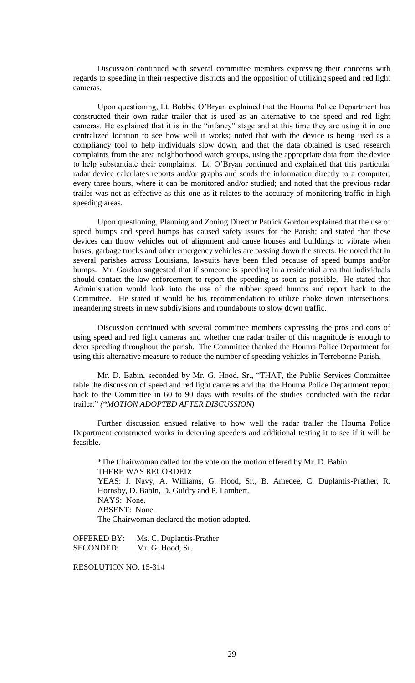Discussion continued with several committee members expressing their concerns with regards to speeding in their respective districts and the opposition of utilizing speed and red light cameras.

Upon questioning, Lt. Bobbie O'Bryan explained that the Houma Police Department has constructed their own radar trailer that is used as an alternative to the speed and red light cameras. He explained that it is in the "infancy" stage and at this time they are using it in one centralized location to see how well it works; noted that with the device is being used as a compliancy tool to help individuals slow down, and that the data obtained is used research complaints from the area neighborhood watch groups, using the appropriate data from the device to help substantiate their complaints. Lt. O'Bryan continued and explained that this particular radar device calculates reports and/or graphs and sends the information directly to a computer, every three hours, where it can be monitored and/or studied; and noted that the previous radar trailer was not as effective as this one as it relates to the accuracy of monitoring traffic in high speeding areas.

Upon questioning, Planning and Zoning Director Patrick Gordon explained that the use of speed bumps and speed humps has caused safety issues for the Parish; and stated that these devices can throw vehicles out of alignment and cause houses and buildings to vibrate when buses, garbage trucks and other emergency vehicles are passing down the streets. He noted that in several parishes across Louisiana, lawsuits have been filed because of speed bumps and/or humps. Mr. Gordon suggested that if someone is speeding in a residential area that individuals should contact the law enforcement to report the speeding as soon as possible. He stated that Administration would look into the use of the rubber speed humps and report back to the Committee. He stated it would be his recommendation to utilize choke down intersections, meandering streets in new subdivisions and roundabouts to slow down traffic.

Discussion continued with several committee members expressing the pros and cons of using speed and red light cameras and whether one radar trailer of this magnitude is enough to deter speeding throughout the parish. The Committee thanked the Houma Police Department for using this alternative measure to reduce the number of speeding vehicles in Terrebonne Parish.

Mr. D. Babin, seconded by Mr. G. Hood, Sr., "THAT, the Public Services Committee table the discussion of speed and red light cameras and that the Houma Police Department report back to the Committee in 60 to 90 days with results of the studies conducted with the radar trailer." *(\*MOTION ADOPTED AFTER DISCUSSION)*

Further discussion ensued relative to how well the radar trailer the Houma Police Department constructed works in deterring speeders and additional testing it to see if it will be feasible.

\*The Chairwoman called for the vote on the motion offered by Mr. D. Babin. THERE WAS RECORDED: YEAS: J. Navy, A. Williams, G. Hood, Sr., B. Amedee, C. Duplantis-Prather, R. Hornsby, D. Babin, D. Guidry and P. Lambert. NAYS: None. ABSENT: None. The Chairwoman declared the motion adopted.

OFFERED BY: Ms. C. Duplantis-Prather SECONDED: Mr. G. Hood, Sr.

RESOLUTION NO. 15-314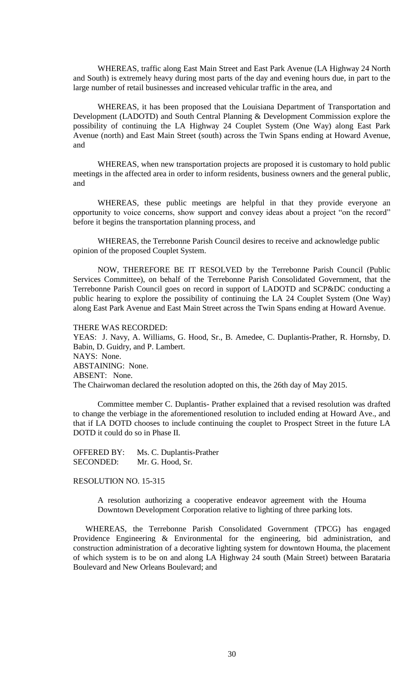WHEREAS, traffic along East Main Street and East Park Avenue (LA Highway 24 North and South) is extremely heavy during most parts of the day and evening hours due, in part to the large number of retail businesses and increased vehicular traffic in the area, and

WHEREAS, it has been proposed that the Louisiana Department of Transportation and Development (LADOTD) and South Central Planning & Development Commission explore the possibility of continuing the LA Highway 24 Couplet System (One Way) along East Park Avenue (north) and East Main Street (south) across the Twin Spans ending at Howard Avenue, and

WHEREAS, when new transportation projects are proposed it is customary to hold public meetings in the affected area in order to inform residents, business owners and the general public, and

WHEREAS, these public meetings are helpful in that they provide everyone an opportunity to voice concerns, show support and convey ideas about a project "on the record" before it begins the transportation planning process, and

WHEREAS, the Terrebonne Parish Council desires to receive and acknowledge public opinion of the proposed Couplet System.

NOW, THEREFORE BE IT RESOLVED by the Terrebonne Parish Council (Public Services Committee), on behalf of the Terrebonne Parish Consolidated Government, that the Terrebonne Parish Council goes on record in support of LADOTD and SCP&DC conducting a public hearing to explore the possibility of continuing the LA 24 Couplet System (One Way) along East Park Avenue and East Main Street across the Twin Spans ending at Howard Avenue.

THERE WAS RECORDED:

YEAS: J. Navy, A. Williams, G. Hood, Sr., B. Amedee, C. Duplantis-Prather, R. Hornsby, D. Babin, D. Guidry, and P. Lambert. NAYS: None. ABSTAINING: None. ABSENT: None. The Chairwoman declared the resolution adopted on this, the 26th day of May 2015.

Committee member C. Duplantis- Prather explained that a revised resolution was drafted to change the verbiage in the aforementioned resolution to included ending at Howard Ave., and that if LA DOTD chooses to include continuing the couplet to Prospect Street in the future LA DOTD it could do so in Phase II.

OFFERED BY: Ms. C. Duplantis-Prather SECONDED: Mr. G. Hood, Sr.

# RESOLUTION NO. 15-315

A resolution authorizing a cooperative endeavor agreement with the Houma Downtown Development Corporation relative to lighting of three parking lots.

WHEREAS, the Terrebonne Parish Consolidated Government (TPCG) has engaged Providence Engineering & Environmental for the engineering, bid administration, and construction administration of a decorative lighting system for downtown Houma, the placement of which system is to be on and along LA Highway 24 south (Main Street) between Barataria Boulevard and New Orleans Boulevard; and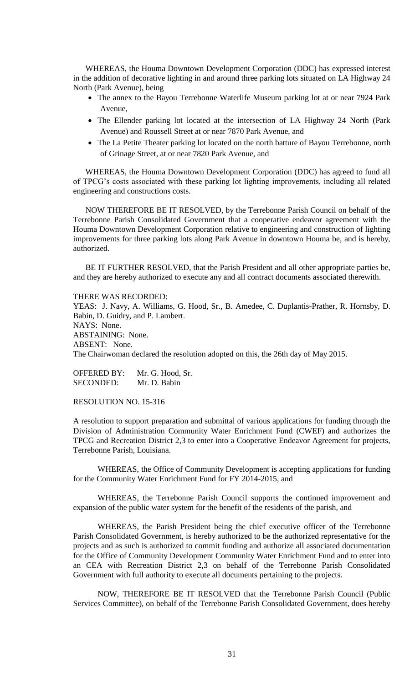WHEREAS, the Houma Downtown Development Corporation (DDC) has expressed interest in the addition of decorative lighting in and around three parking lots situated on LA Highway 24 North (Park Avenue), being

- The annex to the Bayou Terrebonne Waterlife Museum parking lot at or near 7924 Park Avenue,
- The Ellender parking lot located at the intersection of LA Highway 24 North (Park Avenue) and Roussell Street at or near 7870 Park Avenue, and
- The La Petite Theater parking lot located on the north batture of Bayou Terrebonne, north of Grinage Street, at or near 7820 Park Avenue, and

WHEREAS, the Houma Downtown Development Corporation (DDC) has agreed to fund all of TPCG's costs associated with these parking lot lighting improvements, including all related engineering and constructions costs.

NOW THEREFORE BE IT RESOLVED, by the Terrebonne Parish Council on behalf of the Terrebonne Parish Consolidated Government that a cooperative endeavor agreement with the Houma Downtown Development Corporation relative to engineering and construction of lighting improvements for three parking lots along Park Avenue in downtown Houma be, and is hereby, authorized.

BE IT FURTHER RESOLVED, that the Parish President and all other appropriate parties be, and they are hereby authorized to execute any and all contract documents associated therewith.

THERE WAS RECORDED: YEAS: J. Navy, A. Williams, G. Hood, Sr., B. Amedee, C. Duplantis-Prather, R. Hornsby, D. Babin, D. Guidry, and P. Lambert. NAYS: None. ABSTAINING: None. ABSENT: None. The Chairwoman declared the resolution adopted on this, the 26th day of May 2015.

OFFERED BY: Mr. G. Hood, Sr. SECONDED: Mr. D. Babin

RESOLUTION NO. 15-316

A resolution to support preparation and submittal of various applications for funding through the Division of Administration Community Water Enrichment Fund (CWEF) and authorizes the TPCG and Recreation District 2,3 to enter into a Cooperative Endeavor Agreement for projects, Terrebonne Parish, Louisiana.

WHEREAS, the Office of Community Development is accepting applications for funding for the Community Water Enrichment Fund for FY 2014-2015, and

WHEREAS, the Terrebonne Parish Council supports the continued improvement and expansion of the public water system for the benefit of the residents of the parish, and

WHEREAS, the Parish President being the chief executive officer of the Terrebonne Parish Consolidated Government, is hereby authorized to be the authorized representative for the projects and as such is authorized to commit funding and authorize all associated documentation for the Office of Community Development Community Water Enrichment Fund and to enter into an CEA with Recreation District 2,3 on behalf of the Terrebonne Parish Consolidated Government with full authority to execute all documents pertaining to the projects.

NOW, THEREFORE BE IT RESOLVED that the Terrebonne Parish Council (Public Services Committee), on behalf of the Terrebonne Parish Consolidated Government, does hereby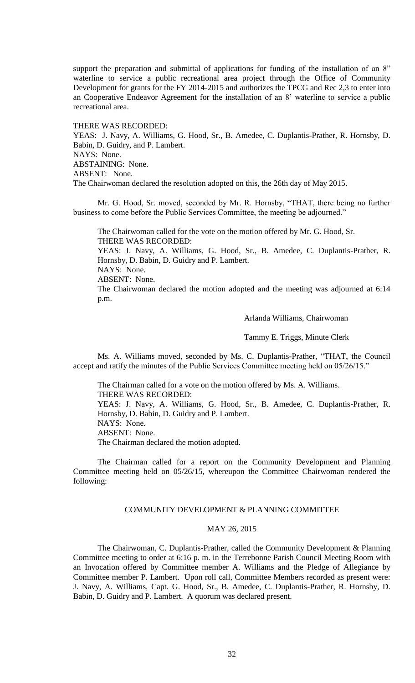support the preparation and submittal of applications for funding of the installation of an 8" waterline to service a public recreational area project through the Office of Community Development for grants for the FY 2014-2015 and authorizes the TPCG and Rec 2,3 to enter into an Cooperative Endeavor Agreement for the installation of an 8' waterline to service a public recreational area.

THERE WAS RECORDED:

YEAS: J. Navy, A. Williams, G. Hood, Sr., B. Amedee, C. Duplantis-Prather, R. Hornsby, D. Babin, D. Guidry, and P. Lambert. NAYS: None. ABSTAINING: None. ABSENT: None. The Chairwoman declared the resolution adopted on this, the 26th day of May 2015.

Mr. G. Hood, Sr. moved, seconded by Mr. R. Hornsby, "THAT, there being no further business to come before the Public Services Committee, the meeting be adjourned."

The Chairwoman called for the vote on the motion offered by Mr. G. Hood, Sr. THERE WAS RECORDED:

YEAS: J. Navy, A. Williams, G. Hood, Sr., B. Amedee, C. Duplantis-Prather, R. Hornsby, D. Babin, D. Guidry and P. Lambert. NAYS: None.

ABSENT: None.

The Chairwoman declared the motion adopted and the meeting was adjourned at 6:14 p.m.

Arlanda Williams, Chairwoman

Tammy E. Triggs, Minute Clerk

Ms. A. Williams moved, seconded by Ms. C. Duplantis-Prather, "THAT, the Council accept and ratify the minutes of the Public Services Committee meeting held on 05/26/15."

The Chairman called for a vote on the motion offered by Ms. A. Williams. THERE WAS RECORDED: YEAS: J. Navy, A. Williams, G. Hood, Sr., B. Amedee, C. Duplantis-Prather, R. Hornsby, D. Babin, D. Guidry and P. Lambert. NAYS: None. ABSENT: None. The Chairman declared the motion adopted.

The Chairman called for a report on the Community Development and Planning Committee meeting held on 05/26/15, whereupon the Committee Chairwoman rendered the following:

## COMMUNITY DEVELOPMENT & PLANNING COMMITTEE

## MAY 26, 2015

The Chairwoman, C. Duplantis-Prather, called the Community Development & Planning Committee meeting to order at 6:16 p. m. in the Terrebonne Parish Council Meeting Room with an Invocation offered by Committee member A. Williams and the Pledge of Allegiance by Committee member P. Lambert. Upon roll call, Committee Members recorded as present were: J. Navy, A. Williams, Capt. G. Hood, Sr., B. Amedee, C. Duplantis-Prather, R. Hornsby, D. Babin, D. Guidry and P. Lambert. A quorum was declared present.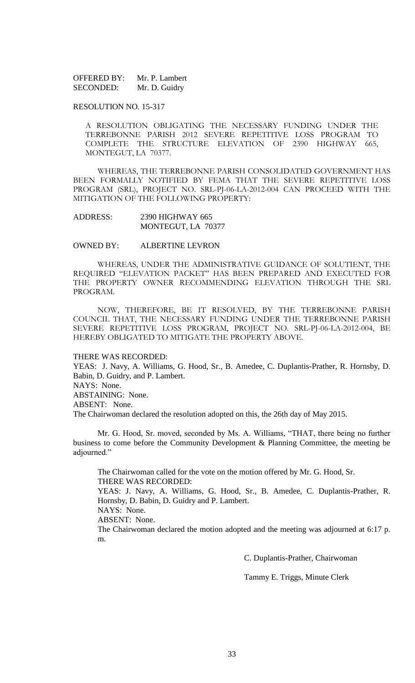OFFERED BY: Mr. P. Lambert SECONDED: Mr. D. Guidry

### RESOLUTION NO. 15-317

A RESOLUTION OBLIGATING THE NECESSARY FUNDING UNDER THE TERREBONNE PARISH 2012 SEVERE REPETITIVE LOSS PROGRAM TO COMPLETE THE STRUCTURE ELEVATION OF 2390 HIGHWAY 665, MONTEGUT, LA 70377.

WHEREAS, THE TERREBONNE PARISH CONSOLIDATED GOVERNMENT HAS BEEN FORMALLY NOTIFIED BY FEMA THAT THE SEVERE REPETITIVE LOSS PROGRAM (SRL), PROJECT NO. SRL-PJ-06-LA-2012-004 CAN PROCEED WITH THE MITIGATION OF THE FOLLOWING PROPERTY:

## ADDRESS: 2390 HIGHWAY 665 MONTEGUT, LA 70377

#### OWNED BY: ALBERTINE LEVRON

WHEREAS, UNDER THE ADMINISTRATIVE GUIDANCE OF SOLUTIENT, THE REQUIRED "ELEVATION PACKET" HAS BEEN PREPARED AND EXECUTED FOR THE PROPERTY OWNER RECOMMENDING ELEVATION THROUGH THE SRL PROGRAM.

NOW, THEREFORE, BE IT RESOLVED, BY THE TERREBONNE PARISH COUNCIL THAT, THE NECESSARY FUNDING UNDER THE TERREBONNE PARISH SEVERE REPETITIVE LOSS PROGRAM, PROJECT NO. SRL-PJ-06-LA-2012-004, BE HEREBY OBLIGATED TO MITIGATE THE PROPERTY ABOVE.

#### THERE WAS RECORDED:

YEAS: J. Navy, A. Williams, G. Hood, Sr., B. Amedee, C. Duplantis-Prather, R. Hornsby, D. Babin, D. Guidry, and P. Lambert. NAYS: None. ABSTAINING: None. ABSENT: None. The Chairwoman declared the resolution adopted on this, the 26th day of May 2015.

Mr. G. Hood, Sr. moved, seconded by Ms. A. Williams, "THAT, there being no further business to come before the Community Development & Planning Committee, the meeting be adjourned."

The Chairwoman called for the vote on the motion offered by Mr. G. Hood, Sr. THERE WAS RECORDED: YEAS: J. Navy, A. Williams, G. Hood, Sr., B. Amedee, C. Duplantis-Prather, R. Hornsby, D. Babin, D. Guidry and P. Lambert. NAYS: None. ABSENT: None. The Chairwoman declared the motion adopted and the meeting was adjourned at 6:17 p. m.

C. Duplantis-Prather, Chairwoman

Tammy E. Triggs, Minute Clerk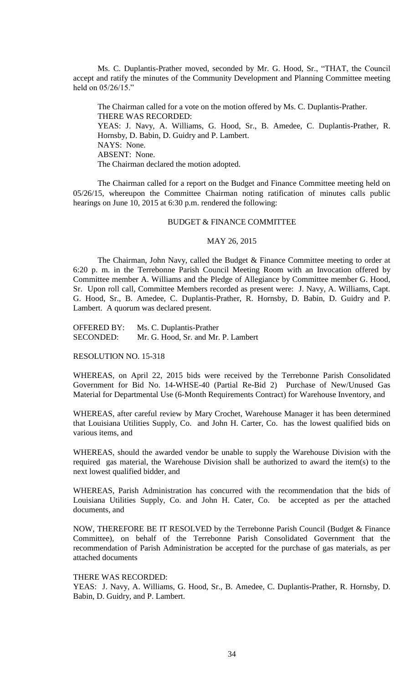Ms. C. Duplantis-Prather moved, seconded by Mr. G. Hood, Sr., "THAT, the Council accept and ratify the minutes of the Community Development and Planning Committee meeting held on 05/26/15."

The Chairman called for a vote on the motion offered by Ms. C. Duplantis-Prather. THERE WAS RECORDED: YEAS: J. Navy, A. Williams, G. Hood, Sr., B. Amedee, C. Duplantis-Prather, R. Hornsby, D. Babin, D. Guidry and P. Lambert. NAYS: None. ABSENT: None. The Chairman declared the motion adopted.

The Chairman called for a report on the Budget and Finance Committee meeting held on 05/26/15, whereupon the Committee Chairman noting ratification of minutes calls public hearings on June 10, 2015 at 6:30 p.m. rendered the following:

## BUDGET & FINANCE COMMITTEE

#### MAY 26, 2015

The Chairman, John Navy, called the Budget & Finance Committee meeting to order at 6:20 p. m. in the Terrebonne Parish Council Meeting Room with an Invocation offered by Committee member A. Williams and the Pledge of Allegiance by Committee member G. Hood, Sr. Upon roll call, Committee Members recorded as present were: J. Navy, A. Williams, Capt. G. Hood, Sr., B. Amedee, C. Duplantis-Prather, R. Hornsby, D. Babin, D. Guidry and P. Lambert. A quorum was declared present.

OFFERED BY: Ms. C. Duplantis-Prather SECONDED: Mr. G. Hood, Sr. and Mr. P. Lambert

RESOLUTION NO. 15-318

WHEREAS, on April 22, 2015 bids were received by the Terrebonne Parish Consolidated Government for Bid No. 14-WHSE-40 (Partial Re-Bid 2) Purchase of New/Unused Gas Material for Departmental Use (6-Month Requirements Contract) for Warehouse Inventory, and

WHEREAS, after careful review by Mary Crochet, Warehouse Manager it has been determined that Louisiana Utilities Supply, Co. and John H. Carter, Co. has the lowest qualified bids on various items, and

WHEREAS, should the awarded vendor be unable to supply the Warehouse Division with the required gas material, the Warehouse Division shall be authorized to award the item(s) to the next lowest qualified bidder, and

WHEREAS, Parish Administration has concurred with the recommendation that the bids of Louisiana Utilities Supply, Co. and John H. Cater, Co. be accepted as per the attached documents, and

NOW, THEREFORE BE IT RESOLVED by the Terrebonne Parish Council (Budget & Finance Committee), on behalf of the Terrebonne Parish Consolidated Government that the recommendation of Parish Administration be accepted for the purchase of gas materials, as per attached documents

# THERE WAS RECORDED:

YEAS: J. Navy, A. Williams, G. Hood, Sr., B. Amedee, C. Duplantis-Prather, R. Hornsby, D. Babin, D. Guidry, and P. Lambert.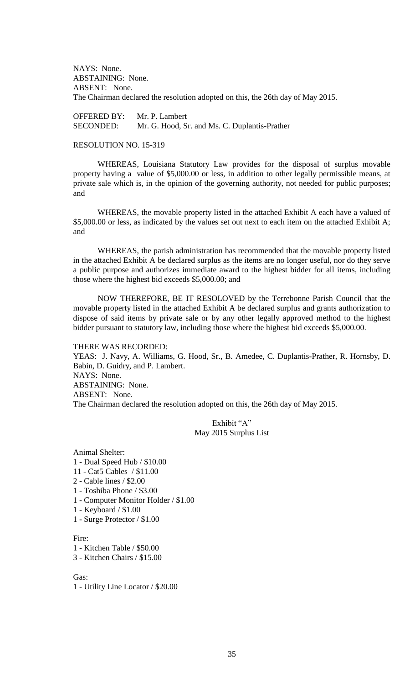NAYS: None. ABSTAINING: None. ABSENT: None. The Chairman declared the resolution adopted on this, the 26th day of May 2015.

OFFERED BY: Mr. P. Lambert SECONDED: Mr. G. Hood, Sr. and Ms. C. Duplantis-Prather

## RESOLUTION NO. 15-319

WHEREAS, Louisiana Statutory Law provides for the disposal of surplus movable property having a value of \$5,000.00 or less, in addition to other legally permissible means, at private sale which is, in the opinion of the governing authority, not needed for public purposes; and

WHEREAS, the movable property listed in the attached Exhibit A each have a valued of \$5,000.00 or less, as indicated by the values set out next to each item on the attached Exhibit A; and

WHEREAS, the parish administration has recommended that the movable property listed in the attached Exhibit A be declared surplus as the items are no longer useful, nor do they serve a public purpose and authorizes immediate award to the highest bidder for all items, including those where the highest bid exceeds \$5,000.00; and

NOW THEREFORE, BE IT RESOLOVED by the Terrebonne Parish Council that the movable property listed in the attached Exhibit A be declared surplus and grants authorization to dispose of said items by private sale or by any other legally approved method to the highest bidder pursuant to statutory law, including those where the highest bid exceeds \$5,000.00.

#### THERE WAS RECORDED:

YEAS: J. Navy, A. Williams, G. Hood, Sr., B. Amedee, C. Duplantis-Prather, R. Hornsby, D. Babin, D. Guidry, and P. Lambert. NAYS: None. ABSTAINING: None. ABSENT: None. The Chairman declared the resolution adopted on this, the 26th day of May 2015.

> Exhibit "A" May 2015 Surplus List

Animal Shelter: 1 - Dual Speed Hub / \$10.00 11 - Cat5 Cables / \$11.00 2 - Cable lines / \$2.00 1 - Toshiba Phone / \$3.00 1 - Computer Monitor Holder / \$1.00 1 - Keyboard / \$1.00

1 - Surge Protector / \$1.00

Fire:

1 - Kitchen Table / \$50.00

3 - Kitchen Chairs / \$15.00

#### Gas:

1 - Utility Line Locator / \$20.00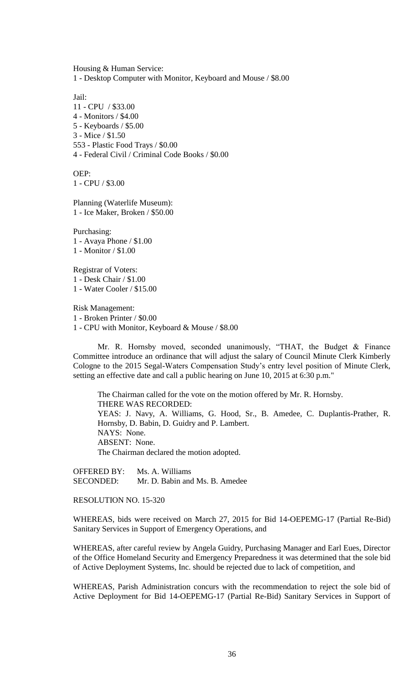Housing & Human Service: 1 - Desktop Computer with Monitor, Keyboard and Mouse / \$8.00

Jail: 11 - CPU / \$33.00 4 - Monitors / \$4.00 5 - Keyboards / \$5.00 3 - Mice / \$1.50 553 - Plastic Food Trays / \$0.00 4 - Federal Civil / Criminal Code Books / \$0.00

OEP: 1 - CPU / \$3.00

Planning (Waterlife Museum): 1 - Ice Maker, Broken / \$50.00

Purchasing: 1 - Avaya Phone / \$1.00 1 - Monitor / \$1.00

Registrar of Voters: 1 - Desk Chair / \$1.00 1 - Water Cooler / \$15.00

Risk Management: 1 - Broken Printer / \$0.00 1 - CPU with Monitor, Keyboard & Mouse / \$8.00

Mr. R. Hornsby moved, seconded unanimously, "THAT, the Budget & Finance Committee introduce an ordinance that will adjust the salary of Council Minute Clerk Kimberly Cologne to the 2015 Segal-Waters Compensation Study's entry level position of Minute Clerk, setting an effective date and call a public hearing on June 10, 2015 at 6:30 p.m."

The Chairman called for the vote on the motion offered by Mr. R. Hornsby. THERE WAS RECORDED: YEAS: J. Navy, A. Williams, G. Hood, Sr., B. Amedee, C. Duplantis-Prather, R. Hornsby, D. Babin, D. Guidry and P. Lambert. NAYS: None. ABSENT: None. The Chairman declared the motion adopted.

OFFERED BY: Ms. A. Williams SECONDED: Mr. D. Babin and Ms. B. Amedee

RESOLUTION NO. 15-320

WHEREAS, bids were received on March 27, 2015 for Bid 14-OEPEMG-17 (Partial Re-Bid) Sanitary Services in Support of Emergency Operations, and

WHEREAS, after careful review by Angela Guidry, Purchasing Manager and Earl Eues, Director of the Office Homeland Security and Emergency Preparedness it was determined that the sole bid of Active Deployment Systems, Inc. should be rejected due to lack of competition, and

WHEREAS, Parish Administration concurs with the recommendation to reject the sole bid of Active Deployment for Bid 14-OEPEMG-17 (Partial Re-Bid) Sanitary Services in Support of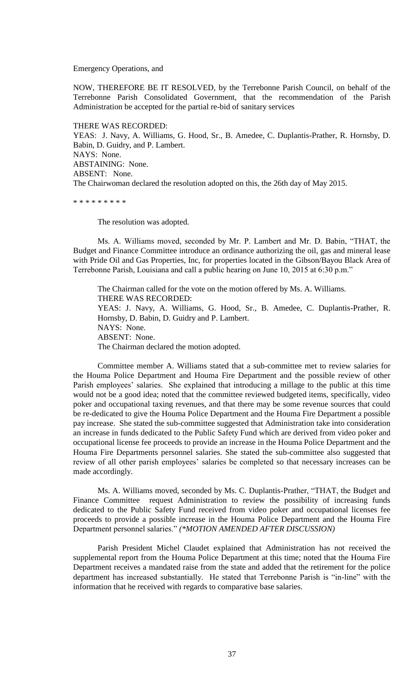Emergency Operations, and

NOW, THEREFORE BE IT RESOLVED, by the Terrebonne Parish Council, on behalf of the Terrebonne Parish Consolidated Government, that the recommendation of the Parish Administration be accepted for the partial re-bid of sanitary services

THERE WAS RECORDED: YEAS: J. Navy, A. Williams, G. Hood, Sr., B. Amedee, C. Duplantis-Prather, R. Hornsby, D. Babin, D. Guidry, and P. Lambert. NAYS: None. ABSTAINING: None. ABSENT: None. The Chairwoman declared the resolution adopted on this, the 26th day of May 2015.

\* \* \* \* \* \* \* \* \*

The resolution was adopted.

Ms. A. Williams moved, seconded by Mr. P. Lambert and Mr. D. Babin, "THAT, the Budget and Finance Committee introduce an ordinance authorizing the oil, gas and mineral lease with Pride Oil and Gas Properties, Inc, for properties located in the Gibson/Bayou Black Area of Terrebonne Parish, Louisiana and call a public hearing on June 10, 2015 at 6:30 p.m."

The Chairman called for the vote on the motion offered by Ms. A. Williams. THERE WAS RECORDED: YEAS: J. Navy, A. Williams, G. Hood, Sr., B. Amedee, C. Duplantis-Prather, R. Hornsby, D. Babin, D. Guidry and P. Lambert. NAYS: None. ABSENT: None. The Chairman declared the motion adopted.

Committee member A. Williams stated that a sub-committee met to review salaries for the Houma Police Department and Houma Fire Department and the possible review of other Parish employees' salaries. She explained that introducing a millage to the public at this time would not be a good idea; noted that the committee reviewed budgeted items, specifically, video poker and occupational taxing revenues, and that there may be some revenue sources that could be re-dedicated to give the Houma Police Department and the Houma Fire Department a possible pay increase. She stated the sub-committee suggested that Administration take into consideration an increase in funds dedicated to the Public Safety Fund which are derived from video poker and occupational license fee proceeds to provide an increase in the Houma Police Department and the Houma Fire Departments personnel salaries. She stated the sub-committee also suggested that review of all other parish employees' salaries be completed so that necessary increases can be made accordingly.

Ms. A. Williams moved, seconded by Ms. C. Duplantis-Prather, "THAT, the Budget and Finance Committee request Administration to review the possibility of increasing funds dedicated to the Public Safety Fund received from video poker and occupational licenses fee proceeds to provide a possible increase in the Houma Police Department and the Houma Fire Department personnel salaries." *(\*MOTION AMENDED AFTER DISCUSSION)*

Parish President Michel Claudet explained that Administration has not received the supplemental report from the Houma Police Department at this time; noted that the Houma Fire Department receives a mandated raise from the state and added that the retirement for the police department has increased substantially. He stated that Terrebonne Parish is "in-line" with the information that he received with regards to comparative base salaries.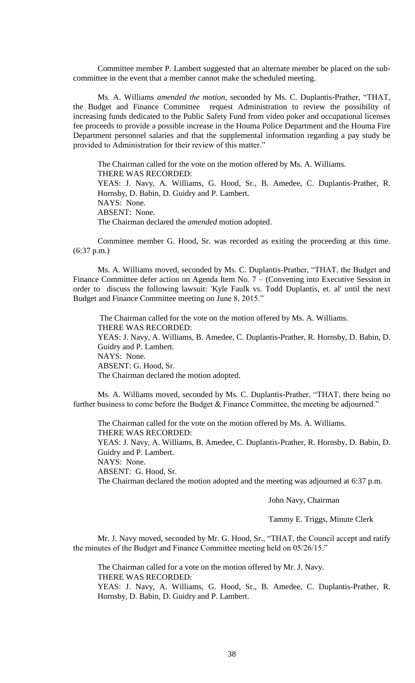Committee member P. Lambert suggested that an alternate member be placed on the subcommittee in the event that a member cannot make the scheduled meeting.

Ms. A. Williams *amended the motion*, seconded by Ms. C. Duplantis-Prather, "THAT, the Budget and Finance Committee request Administration to review the possibility of increasing funds dedicated to the Public Safety Fund from video poker and occupational licenses fee proceeds to provide a possible increase in the Houma Police Department and the Houma Fire Department personnel salaries and that the supplemental information regarding a pay study be provided to Administration for their review of this matter."

The Chairman called for the vote on the motion offered by Ms. A. Williams. THERE WAS RECORDED: YEAS: J. Navy, A. Williams, G. Hood, Sr., B. Amedee, C. Duplantis-Prather, R. Hornsby, D. Babin, D. Guidry and P. Lambert. NAYS: None. ABSENT: None. The Chairman declared the *amended* motion adopted.

Committee member G. Hood, Sr. was recorded as exiting the proceeding at this time. (6:37 p.m.)

Ms. A. Williams moved, seconded by Ms. C. Duplantis-Prather, "THAT, the Budget and Finance Committee defer action on Agenda Item No. 7 – (Convening into Executive Session in order to discuss the following lawsuit: 'Kyle Faulk vs. Todd Duplantis, et. al' until the next Budget and Finance Committee meeting on June 8, 2015."

The Chairman called for the vote on the motion offered by Ms. A. Williams. THERE WAS RECORDED: YEAS: J. Navy, A. Williams, B. Amedee, C. Duplantis-Prather, R. Hornsby, D. Babin, D. Guidry and P. Lambert. NAYS: None. ABSENT: G. Hood, Sr. The Chairman declared the motion adopted.

Ms. A. Williams moved, seconded by Ms. C. Duplantis-Prather, "THAT, there being no further business to come before the Budget & Finance Committee, the meeting be adjourned."

The Chairman called for the vote on the motion offered by Ms. A. Williams. THERE WAS RECORDED: YEAS: J. Navy, A. Williams, B. Amedee, C. Duplantis-Prather, R. Hornsby, D. Babin, D. Guidry and P. Lambert. NAYS: None. ABSENT: G. Hood, Sr. The Chairman declared the motion adopted and the meeting was adjourned at 6:37 p.m.

John Navy, Chairman

Tammy E. Triggs, Minute Clerk

Mr. J. Navy moved, seconded by Mr. G. Hood, Sr., "THAT, the Council accept and ratify the minutes of the Budget and Finance Committee meeting held on 05/26/15."

The Chairman called for a vote on the motion offered by Mr. J. Navy. THERE WAS RECORDED: YEAS: J. Navy, A. Williams, G. Hood, Sr., B. Amedee, C. Duplantis-Prather, R. Hornsby, D. Babin, D. Guidry and P. Lambert.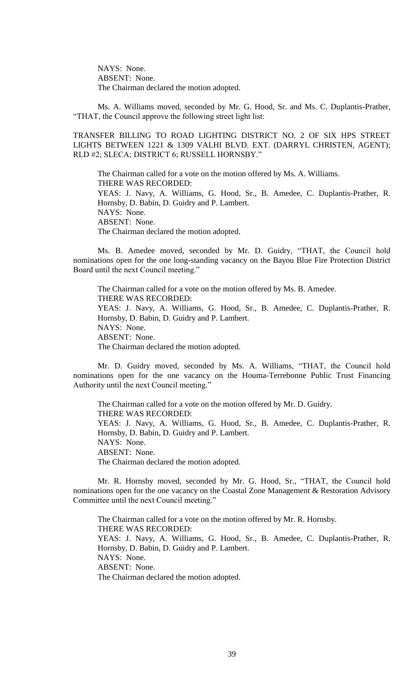NAYS: None. ABSENT: None. The Chairman declared the motion adopted.

Ms. A. Williams moved, seconded by Mr. G. Hood, Sr. and Ms. C. Duplantis-Prather, "THAT, the Council approve the following street light list:

TRANSFER BILLING TO ROAD LIGHTING DISTRICT NO. 2 OF SIX HPS STREET LIGHTS BETWEEN 1221 & 1309 VALHI BLVD. EXT. (DARRYL CHRISTEN, AGENT); RLD #2; SLECA; DISTRICT 6; RUSSELL HORNSBY."

The Chairman called for a vote on the motion offered by Ms. A. Williams. THERE WAS RECORDED: YEAS: J. Navy, A. Williams, G. Hood, Sr., B. Amedee, C. Duplantis-Prather, R. Hornsby, D. Babin, D. Guidry and P. Lambert. NAYS: None. ABSENT: None. The Chairman declared the motion adopted.

Ms. B. Amedee moved, seconded by Mr. D. Guidry, "THAT, the Council hold nominations open for the one long-standing vacancy on the Bayou Blue Fire Protection District Board until the next Council meeting."

The Chairman called for a vote on the motion offered by Ms. B. Amedee. THERE WAS RECORDED: YEAS: J. Navy, A. Williams, G. Hood, Sr., B. Amedee, C. Duplantis-Prather, R. Hornsby, D. Babin, D. Guidry and P. Lambert. NAYS: None. ABSENT: None. The Chairman declared the motion adopted.

Mr. D. Guidry moved, seconded by Ms. A. Williams, "THAT, the Council hold nominations open for the one vacancy on the Houma-Terrebonne Public Trust Financing Authority until the next Council meeting."

The Chairman called for a vote on the motion offered by Mr. D. Guidry. THERE WAS RECORDED: YEAS: J. Navy, A. Williams, G. Hood, Sr., B. Amedee, C. Duplantis-Prather, R. Hornsby, D. Babin, D. Guidry and P. Lambert. NAYS: None. ABSENT: None. The Chairman declared the motion adopted.

Mr. R. Hornsby moved, seconded by Mr. G. Hood, Sr., "THAT, the Council hold nominations open for the one vacancy on the Coastal Zone Management & Restoration Advisory Committee until the next Council meeting."

The Chairman called for a vote on the motion offered by Mr. R. Hornsby. THERE WAS RECORDED: YEAS: J. Navy, A. Williams, G. Hood, Sr., B. Amedee, C. Duplantis-Prather, R. Hornsby, D. Babin, D. Guidry and P. Lambert. NAYS: None. ABSENT: None. The Chairman declared the motion adopted.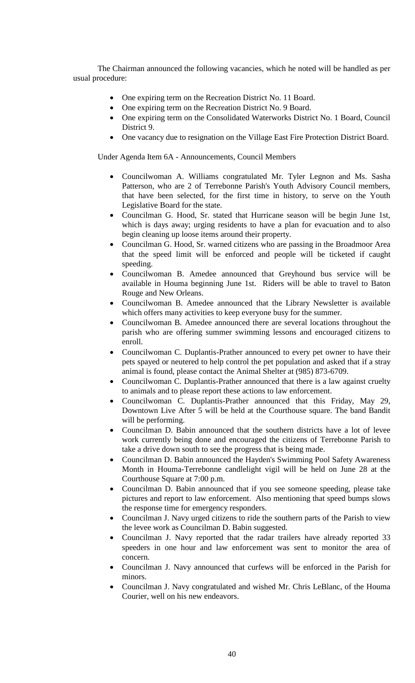The Chairman announced the following vacancies, which he noted will be handled as per usual procedure:

- One expiring term on the Recreation District No. 11 Board.
- One expiring term on the Recreation District No. 9 Board.
- One expiring term on the Consolidated Waterworks District No. 1 Board, Council District 9.
- One vacancy due to resignation on the Village East Fire Protection District Board.

Under Agenda Item 6A - Announcements, Council Members

- Councilwoman A. Williams congratulated Mr. Tyler Legnon and Ms. Sasha Patterson, who are 2 of Terrebonne Parish's Youth Advisory Council members, that have been selected, for the first time in history, to serve on the Youth Legislative Board for the state.
- Councilman G. Hood, Sr. stated that Hurricane season will be begin June 1st, which is days away; urging residents to have a plan for evacuation and to also begin cleaning up loose items around their property.
- Councilman G. Hood, Sr. warned citizens who are passing in the Broadmoor Area that the speed limit will be enforced and people will be ticketed if caught speeding.
- Councilwoman B. Amedee announced that Greyhound bus service will be available in Houma beginning June 1st. Riders will be able to travel to Baton Rouge and New Orleans.
- Councilwoman B. Amedee announced that the Library Newsletter is available which offers many activities to keep everyone busy for the summer.
- Councilwoman B. Amedee announced there are several locations throughout the parish who are offering summer swimming lessons and encouraged citizens to enroll.
- Councilwoman C. Duplantis-Prather announced to every pet owner to have their pets spayed or neutered to help control the pet population and asked that if a stray animal is found, please contact the Animal Shelter at (985) 873-6709.
- Councilwoman C. Duplantis-Prather announced that there is a law against cruelty to animals and to please report these actions to law enforcement.
- Councilwoman C. Duplantis-Prather announced that this Friday, May 29, Downtown Live After 5 will be held at the Courthouse square. The band Bandit will be performing.
- Councilman D. Babin announced that the southern districts have a lot of levee work currently being done and encouraged the citizens of Terrebonne Parish to take a drive down south to see the progress that is being made.
- Councilman D. Babin announced the Hayden's Swimming Pool Safety Awareness Month in Houma-Terrebonne candlelight vigil will be held on June 28 at the Courthouse Square at 7:00 p.m.
- Councilman D. Babin announced that if you see someone speeding, please take pictures and report to law enforcement. Also mentioning that speed bumps slows the response time for emergency responders.
- Councilman J. Navy urged citizens to ride the southern parts of the Parish to view the levee work as Councilman D. Babin suggested.
- Councilman J. Navy reported that the radar trailers have already reported 33 speeders in one hour and law enforcement was sent to monitor the area of concern.
- Councilman J. Navy announced that curfews will be enforced in the Parish for minors.
- Councilman J. Navy congratulated and wished Mr. Chris LeBlanc, of the Houma Courier, well on his new endeavors.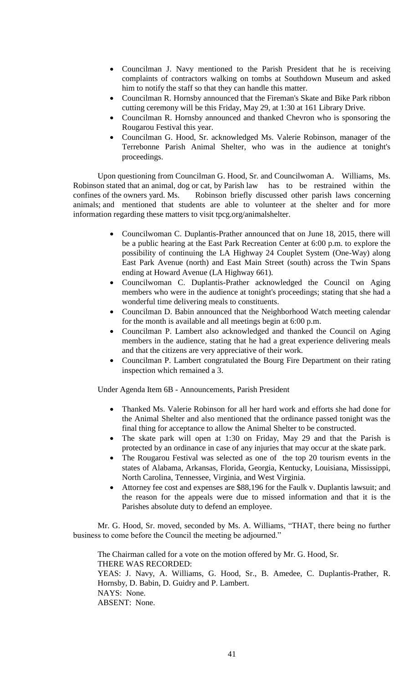- Councilman J. Navy mentioned to the Parish President that he is receiving complaints of contractors walking on tombs at Southdown Museum and asked him to notify the staff so that they can handle this matter.
- Councilman R. Hornsby announced that the Fireman's Skate and Bike Park ribbon cutting ceremony will be this Friday, May 29, at 1:30 at 161 Library Drive.
- Councilman R. Hornsby announced and thanked Chevron who is sponsoring the Rougarou Festival this year.
- Councilman G. Hood, Sr. acknowledged Ms. Valerie Robinson, manager of the Terrebonne Parish Animal Shelter, who was in the audience at tonight's proceedings.

Upon questioning from Councilman G. Hood, Sr. and Councilwoman A. Williams, Ms. Robinson stated that an animal, dog or cat, by Parish law has to be restrained within the confines of the owners yard. Ms. Robinson briefly discussed other parish laws concerning animals; and mentioned that students are able to volunteer at the shelter and for more information regarding these matters to visit tpcg.org/animalshelter.

- Councilwoman C. Duplantis-Prather announced that on June 18, 2015, there will be a public hearing at the East Park Recreation Center at 6:00 p.m. to explore the possibility of continuing the LA Highway 24 Couplet System (One-Way) along East Park Avenue (north) and East Main Street (south) across the Twin Spans ending at Howard Avenue (LA Highway 661).
- Councilwoman C. Duplantis-Prather acknowledged the Council on Aging members who were in the audience at tonight's proceedings; stating that she had a wonderful time delivering meals to constituents.
- Councilman D. Babin announced that the Neighborhood Watch meeting calendar for the month is available and all meetings begin at 6:00 p.m.
- Councilman P. Lambert also acknowledged and thanked the Council on Aging members in the audience, stating that he had a great experience delivering meals and that the citizens are very appreciative of their work.
- Councilman P. Lambert congratulated the Bourg Fire Department on their rating inspection which remained a 3.

Under Agenda Item 6B - Announcements, Parish President

- Thanked Ms. Valerie Robinson for all her hard work and efforts she had done for the Animal Shelter and also mentioned that the ordinance passed tonight was the final thing for acceptance to allow the Animal Shelter to be constructed.
- The skate park will open at 1:30 on Friday, May 29 and that the Parish is protected by an ordinance in case of any injuries that may occur at the skate park.
- The Rougarou Festival was selected as one of the top 20 tourism events in the states of Alabama, Arkansas, Florida, Georgia, Kentucky, Louisiana, Mississippi, North Carolina, Tennessee, Virginia, and West Virginia.
- Attorney fee cost and expenses are \$88,196 for the Faulk v. Duplantis lawsuit; and the reason for the appeals were due to missed information and that it is the Parishes absolute duty to defend an employee.

Mr. G. Hood, Sr. moved, seconded by Ms. A. Williams, "THAT, there being no further business to come before the Council the meeting be adjourned."

The Chairman called for a vote on the motion offered by Mr. G. Hood, Sr. THERE WAS RECORDED: YEAS: J. Navy, A. Williams, G. Hood, Sr., B. Amedee, C. Duplantis-Prather, R. Hornsby, D. Babin, D. Guidry and P. Lambert. NAYS: None. ABSENT: None.